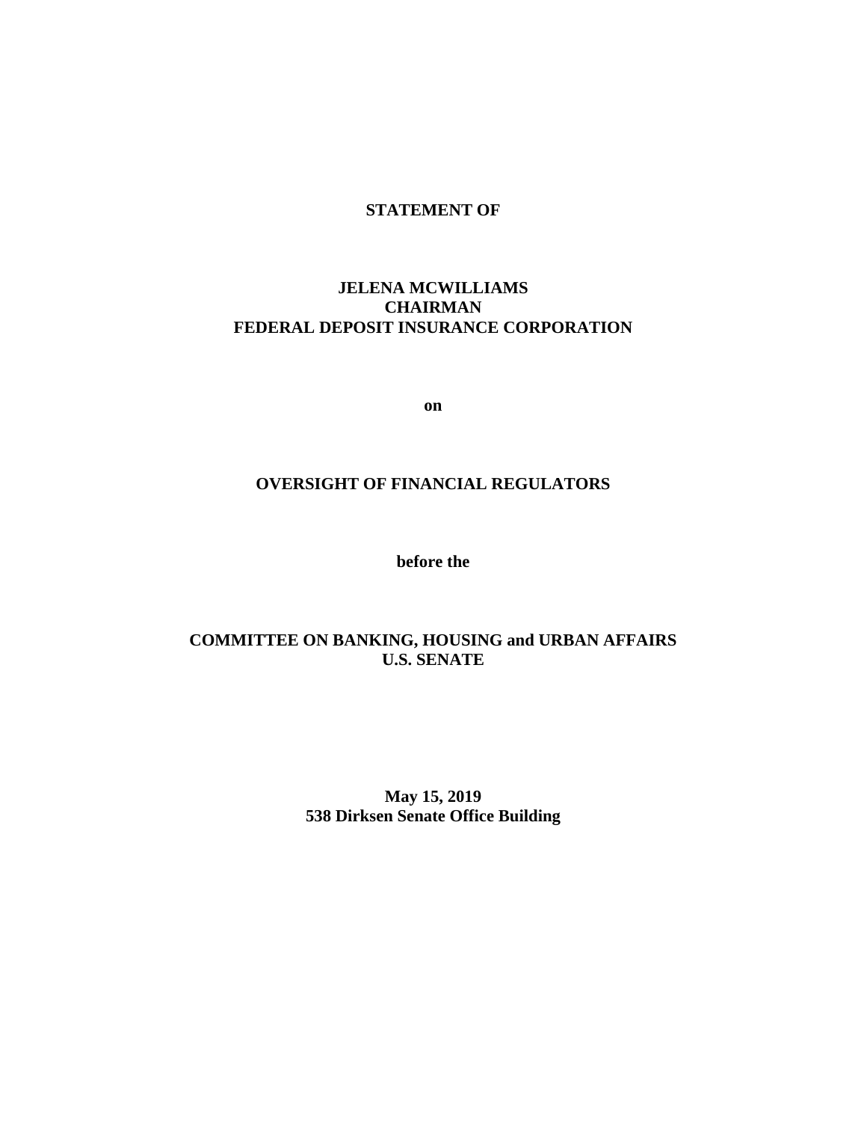# **STATEMENT OF**

# **JELENA MCWILLIAMS CHAIRMAN FEDERAL DEPOSIT INSURANCE CORPORATION**

**on**

# **OVERSIGHT OF FINANCIAL REGULATORS**

**before the**

# **COMMITTEE ON BANKING, HOUSING and URBAN AFFAIRS U.S. SENATE**

**May 15, 2019 538 Dirksen Senate Office Building**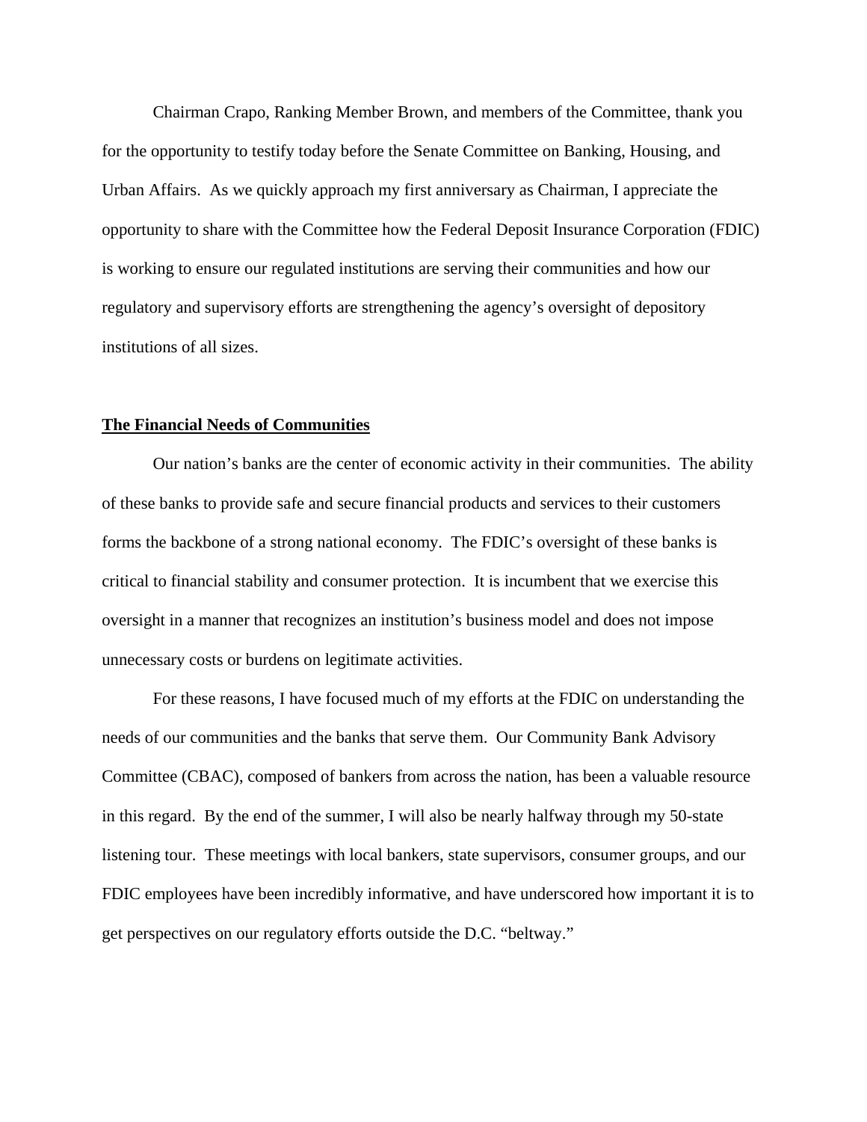Chairman Crapo, Ranking Member Brown, and members of the Committee, thank you for the opportunity to testify today before the Senate Committee on Banking, Housing, and Urban Affairs. As we quickly approach my first anniversary as Chairman, I appreciate the opportunity to share with the Committee how the Federal Deposit Insurance Corporation (FDIC) is working to ensure our regulated institutions are serving their communities and how our regulatory and supervisory efforts are strengthening the agency's oversight of depository institutions of all sizes.

#### **The Financial Needs of Communities**

Our nation's banks are the center of economic activity in their communities. The ability of these banks to provide safe and secure financial products and services to their customers forms the backbone of a strong national economy. The FDIC's oversight of these banks is critical to financial stability and consumer protection. It is incumbent that we exercise this oversight in a manner that recognizes an institution's business model and does not impose unnecessary costs or burdens on legitimate activities.

For these reasons, I have focused much of my efforts at the FDIC on understanding the needs of our communities and the banks that serve them. Our Community Bank Advisory Committee (CBAC), composed of bankers from across the nation, has been a valuable resource in this regard. By the end of the summer, I will also be nearly halfway through my 50-state listening tour. These meetings with local bankers, state supervisors, consumer groups, and our FDIC employees have been incredibly informative, and have underscored how important it is to get perspectives on our regulatory efforts outside the D.C. "beltway."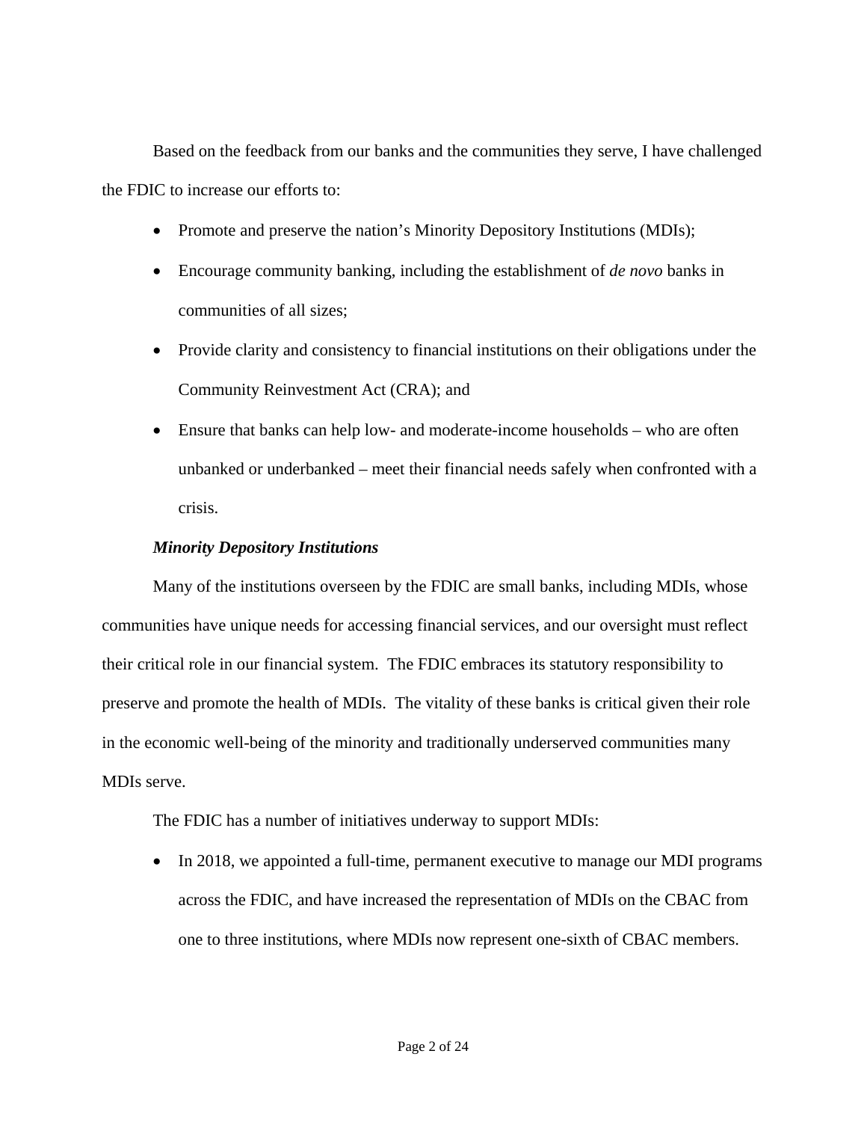Based on the feedback from our banks and the communities they serve, I have challenged the FDIC to increase our efforts to:

- Promote and preserve the nation's Minority Depository Institutions (MDIs);
- Encourage community banking, including the establishment of *de novo* banks in communities of all sizes;
- Provide clarity and consistency to financial institutions on their obligations under the Community Reinvestment Act (CRA); and
- Ensure that banks can help low- and moderate-income households who are often unbanked or underbanked – meet their financial needs safely when confronted with a crisis.

# *Minority Depository Institutions*

Many of the institutions overseen by the FDIC are small banks, including MDIs, whose communities have unique needs for accessing financial services, and our oversight must reflect their critical role in our financial system. The FDIC embraces its statutory responsibility to preserve and promote the health of MDIs. The vitality of these banks is critical given their role in the economic well-being of the minority and traditionally underserved communities many MDIs serve.

The FDIC has a number of initiatives underway to support MDIs:

• In 2018, we appointed a full-time, permanent executive to manage our MDI programs across the FDIC, and have increased the representation of MDIs on the CBAC from one to three institutions, where MDIs now represent one-sixth of CBAC members.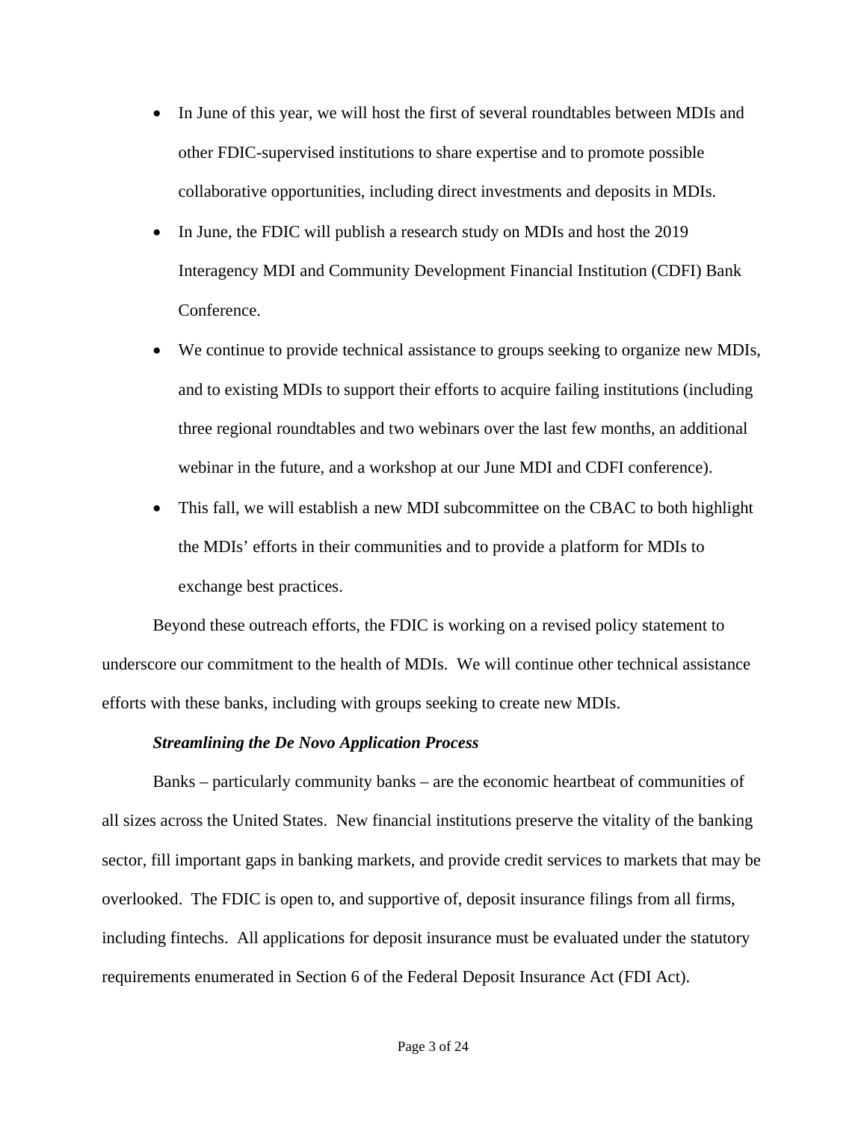- In June of this year, we will host the first of several roundtables between MDIs and other FDIC-supervised institutions to share expertise and to promote possible collaborative opportunities, including direct investments and deposits in MDIs.
- In June, the FDIC will publish a research study on MDIs and host the 2019 Interagency MDI and Community Development Financial Institution (CDFI) Bank Conference.
- We continue to provide technical assistance to groups seeking to organize new MDIs, and to existing MDIs to support their efforts to acquire failing institutions (including three regional roundtables and two webinars over the last few months, an additional webinar in the future, and a workshop at our June MDI and CDFI conference).
- This fall, we will establish a new MDI subcommittee on the CBAC to both highlight the MDIs' efforts in their communities and to provide a platform for MDIs to exchange best practices.

Beyond these outreach efforts, the FDIC is working on a revised policy statement to underscore our commitment to the health of MDIs. We will continue other technical assistance efforts with these banks, including with groups seeking to create new MDIs.

## *Streamlining the De Novo Application Process*

Banks – particularly community banks – are the economic heartbeat of communities of all sizes across the United States. New financial institutions preserve the vitality of the banking sector, fill important gaps in banking markets, and provide credit services to markets that may be overlooked. The FDIC is open to, and supportive of, deposit insurance filings from all firms, including fintechs. All applications for deposit insurance must be evaluated under the statutory requirements enumerated in Section 6 of the Federal Deposit Insurance Act (FDI Act).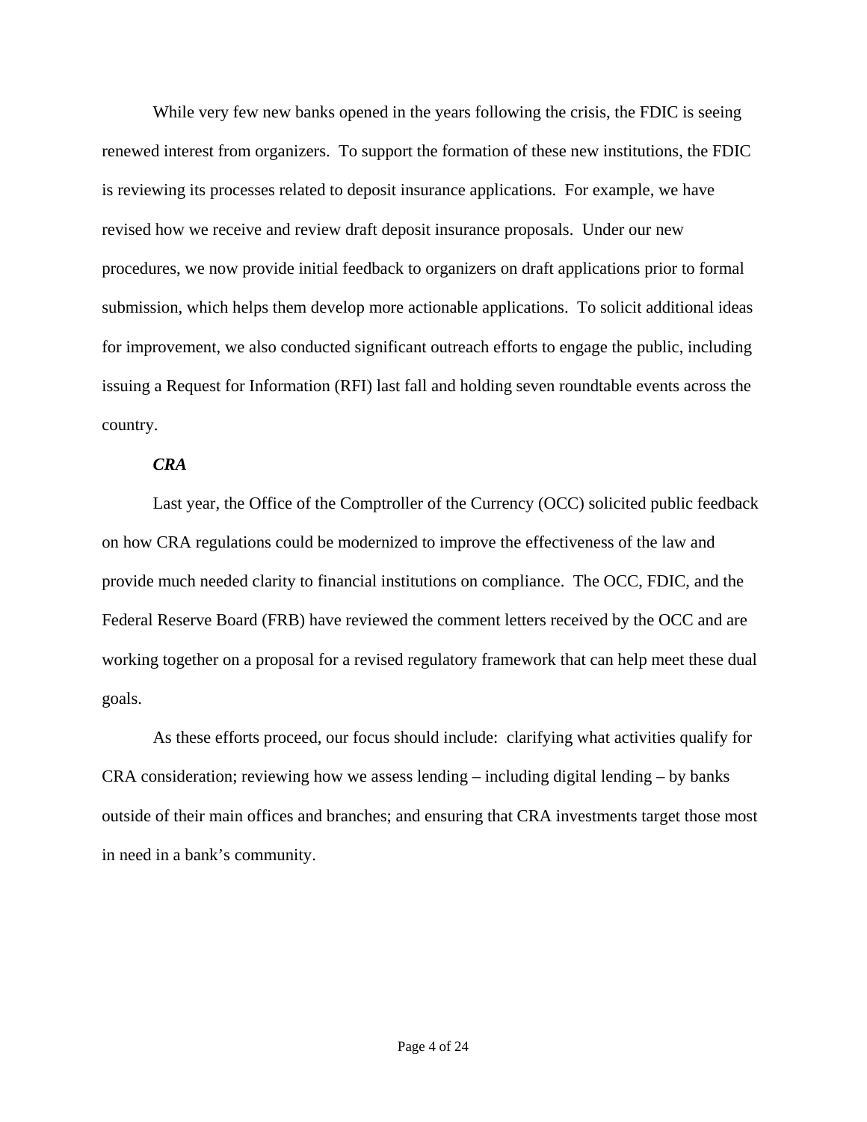While very few new banks opened in the years following the crisis, the FDIC is seeing renewed interest from organizers. To support the formation of these new institutions, the FDIC is reviewing its processes related to deposit insurance applications. For example, we have revised how we receive and review draft deposit insurance proposals. Under our new procedures, we now provide initial feedback to organizers on draft applications prior to formal submission, which helps them develop more actionable applications. To solicit additional ideas for improvement, we also conducted significant outreach efforts to engage the public, including issuing a Request for Information (RFI) last fall and holding seven roundtable events across the country.

## *CRA*

Last year, the Office of the Comptroller of the Currency (OCC) solicited public feedback on how CRA regulations could be modernized to improve the effectiveness of the law and provide much needed clarity to financial institutions on compliance. The OCC, FDIC, and the Federal Reserve Board (FRB) have reviewed the comment letters received by the OCC and are working together on a proposal for a revised regulatory framework that can help meet these dual goals.

As these efforts proceed, our focus should include: clarifying what activities qualify for CRA consideration; reviewing how we assess lending – including digital lending – by banks outside of their main offices and branches; and ensuring that CRA investments target those most in need in a bank's community.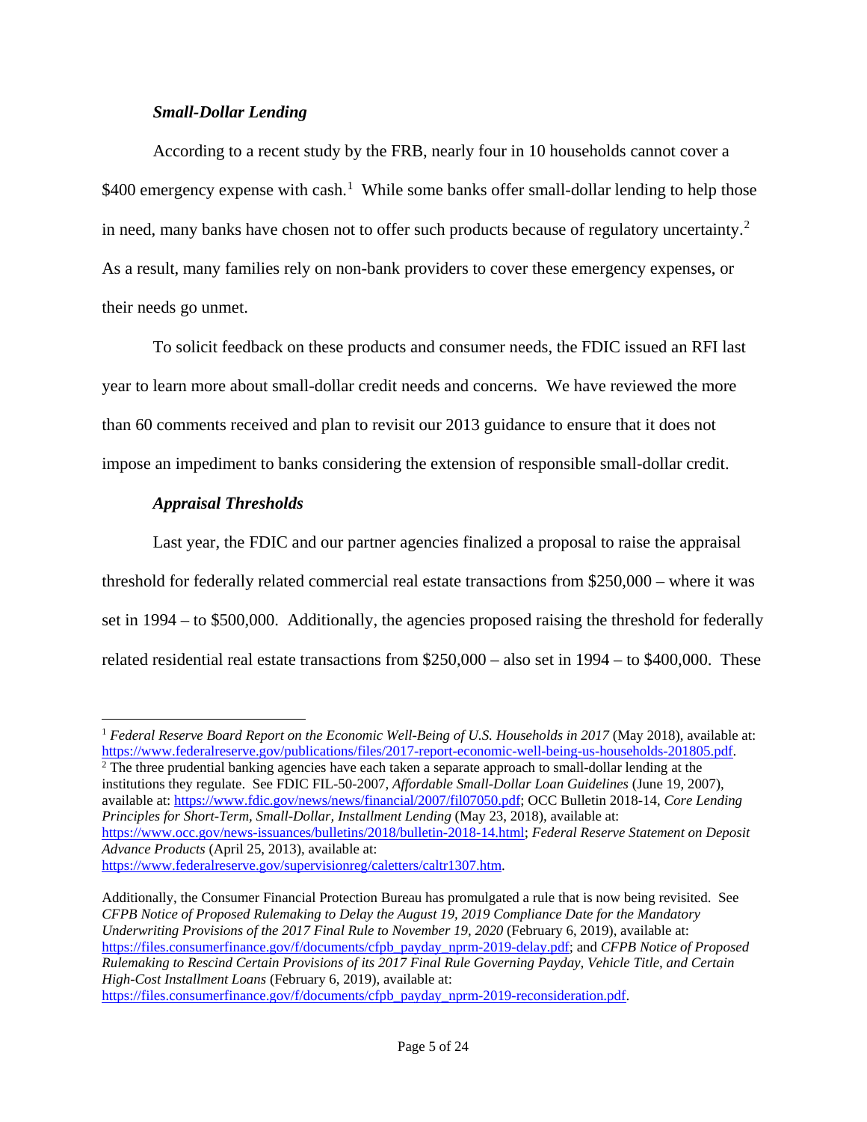## *Small-Dollar Lending*

According to a recent study by the FRB, nearly four in 10 households cannot cover a \$400 emergency expense with cash.<sup>[1](#page-5-0)</sup> While some banks offer small-dollar lending to help those in need, many banks have chosen not to offer such products because of regulatory uncertainty.<sup>[2](#page-5-1)</sup> As a result, many families rely on non-bank providers to cover these emergency expenses, or their needs go unmet.

To solicit feedback on these products and consumer needs, the FDIC issued an RFI last year to learn more about small-dollar credit needs and concerns. We have reviewed the more than 60 comments received and plan to revisit our 2013 guidance to ensure that it does not impose an impediment to banks considering the extension of responsible small-dollar credit.

# *Appraisal Thresholds*

 $\overline{a}$ 

Last year, the FDIC and our partner agencies finalized a proposal to raise the appraisal threshold for federally related commercial real estate transactions from \$250,000 – where it was set in 1994 – to \$500,000. Additionally, the agencies proposed raising the threshold for federally related residential real estate transactions from \$250,000 – also set in 1994 – to \$400,000. These

<span id="page-5-1"></span> $2$  The three prudential banking agencies have each taken a separate approach to small-dollar lending at the institutions they regulate. See FDIC FIL-50-2007, *Affordable Small-Dollar Loan Guidelines* (June 19, 2007), available at: [https://www.fdic.gov/news/news/financial/2007/fil07050.pdf;](https://www.fdic.gov/news/news/financial/2007/fil07050.pdf) OCC Bulletin 2018-14, *Core Lending Principles for Short-Term, Small-Dollar, Installment Lending* (May 23, 2018), available at: [https://www.occ.gov/news-issuances/bulletins/2018/bulletin-2018-14.html;](https://www.occ.gov/news-issuances/bulletins/2018/bulletin-2018-14.html#_blank) *Federal Reserve Statement on Deposit Advance Products* (April 25, 2013), available at:

[https://www.federalreserve.gov/supervisionreg/caletters/caltr1307.htm.](https://www.federalreserve.gov/supervisionreg/caletters/caltr1307.htm#_blank)

Additionally, the Consumer Financial Protection Bureau has promulgated a rule that is now being revisited. See *CFPB Notice of Proposed Rulemaking to Delay the August 19, 2019 Compliance Date for the Mandatory Underwriting Provisions of the 2017 Final Rule to November 19, 2020* (February 6, 2019), available at: [https://files.consumerfinance.gov/f/documents/cfpb\\_payday\\_nprm-2019-delay.pdf;](https://files.consumerfinance.gov/f/documents/cfpb_payday_nprm-2019-delay.pdf) and *CFPB Notice of Proposed Rulemaking to Rescind Certain Provisions of its 2017 Final Rule Governing Payday, Vehicle Title, and Certain High-Cost Installment Loans* (February 6, 2019), available at:

[https://files.consumerfinance.gov/f/documents/cfpb\\_payday\\_nprm-2019-reconsideration.pdf.](https://files.consumerfinance.gov/f/documents/cfpb_payday_nprm-2019-reconsideration.pdf)

<span id="page-5-0"></span><sup>1</sup> *Federal Reserve Board Report on the Economic Well-Being of U.S. Households in 2017* (May 2018), available at: [https://www.federalreserve.gov/publications/files/2017-report-economic-well-being-us-households-201805.pdf.](https://www.federalreserve.gov/publications/files/2017-report-economic-well-being-us-households-201805.pdf)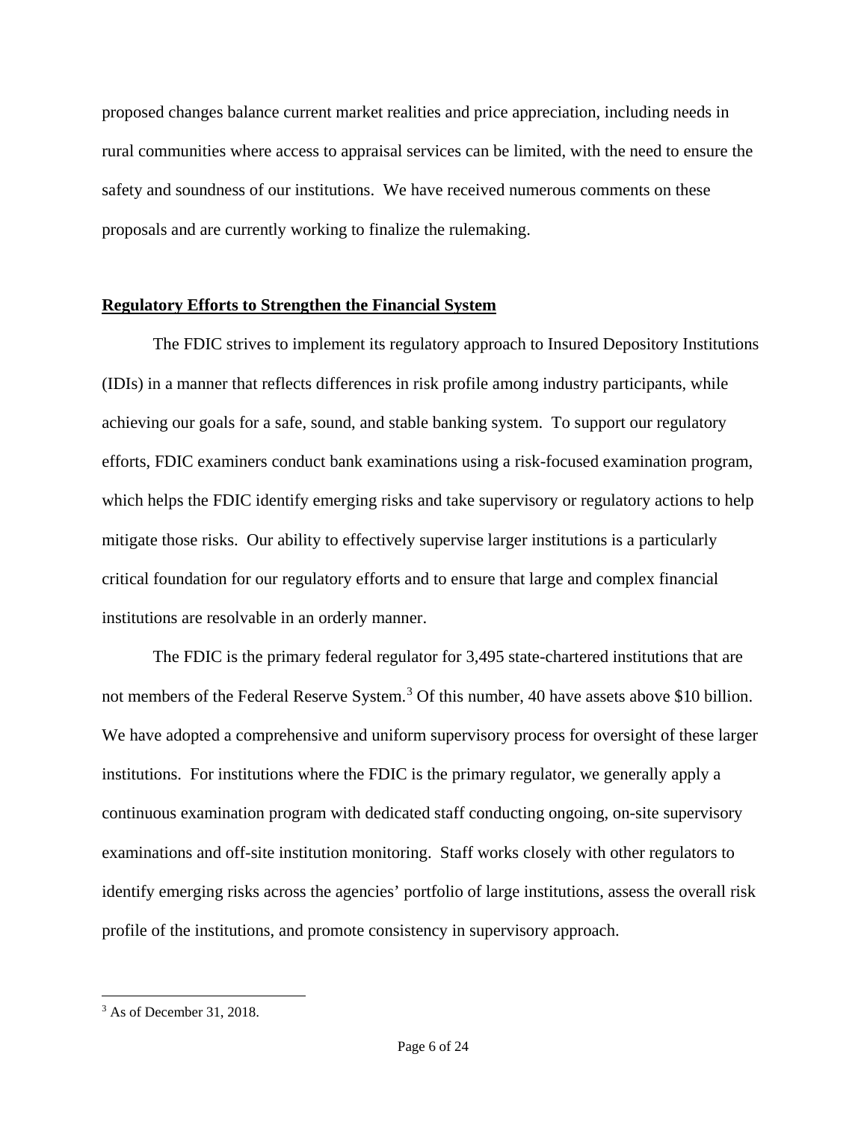proposed changes balance current market realities and price appreciation, including needs in rural communities where access to appraisal services can be limited, with the need to ensure the safety and soundness of our institutions. We have received numerous comments on these proposals and are currently working to finalize the rulemaking.

## **Regulatory Efforts to Strengthen the Financial System**

The FDIC strives to implement its regulatory approach to Insured Depository Institutions (IDIs) in a manner that reflects differences in risk profile among industry participants, while achieving our goals for a safe, sound, and stable banking system. To support our regulatory efforts, FDIC examiners conduct bank examinations using a risk-focused examination program, which helps the FDIC identify emerging risks and take supervisory or regulatory actions to help mitigate those risks. Our ability to effectively supervise larger institutions is a particularly critical foundation for our regulatory efforts and to ensure that large and complex financial institutions are resolvable in an orderly manner.

The FDIC is the primary federal regulator for 3,495 state-chartered institutions that are not members of the Federal Reserve System.<sup>[3](#page-6-0)</sup> Of this number, 40 have assets above \$10 billion. We have adopted a comprehensive and uniform supervisory process for oversight of these larger institutions. For institutions where the FDIC is the primary regulator, we generally apply a continuous examination program with dedicated staff conducting ongoing, on-site supervisory examinations and off-site institution monitoring. Staff works closely with other regulators to identify emerging risks across the agencies' portfolio of large institutions, assess the overall risk profile of the institutions, and promote consistency in supervisory approach.

l

<span id="page-6-0"></span><sup>3</sup> As of December 31, 2018.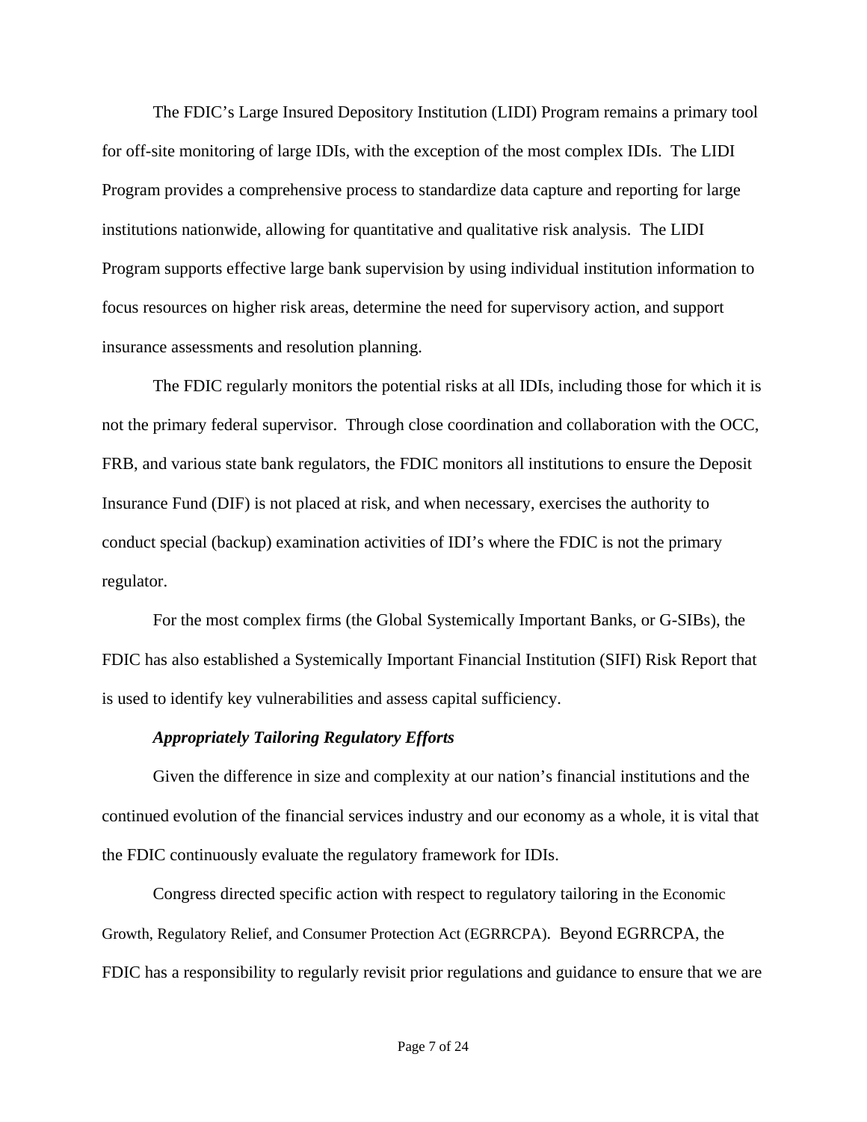The FDIC's Large Insured Depository Institution (LIDI) Program remains a primary tool for off-site monitoring of large IDIs, with the exception of the most complex IDIs. The LIDI Program provides a comprehensive process to standardize data capture and reporting for large institutions nationwide, allowing for quantitative and qualitative risk analysis. The LIDI Program supports effective large bank supervision by using individual institution information to focus resources on higher risk areas, determine the need for supervisory action, and support insurance assessments and resolution planning.

The FDIC regularly monitors the potential risks at all IDIs, including those for which it is not the primary federal supervisor. Through close coordination and collaboration with the OCC, FRB, and various state bank regulators, the FDIC monitors all institutions to ensure the Deposit Insurance Fund (DIF) is not placed at risk, and when necessary, exercises the authority to conduct special (backup) examination activities of IDI's where the FDIC is not the primary regulator.

For the most complex firms (the Global Systemically Important Banks, or G-SIBs), the FDIC has also established a Systemically Important Financial Institution (SIFI) Risk Report that is used to identify key vulnerabilities and assess capital sufficiency.

## *Appropriately Tailoring Regulatory Efforts*

Given the difference in size and complexity at our nation's financial institutions and the continued evolution of the financial services industry and our economy as a whole, it is vital that the FDIC continuously evaluate the regulatory framework for IDIs.

Congress directed specific action with respect to regulatory tailoring in the Economic Growth, Regulatory Relief, and Consumer Protection Act (EGRRCPA). Beyond EGRRCPA, the FDIC has a responsibility to regularly revisit prior regulations and guidance to ensure that we are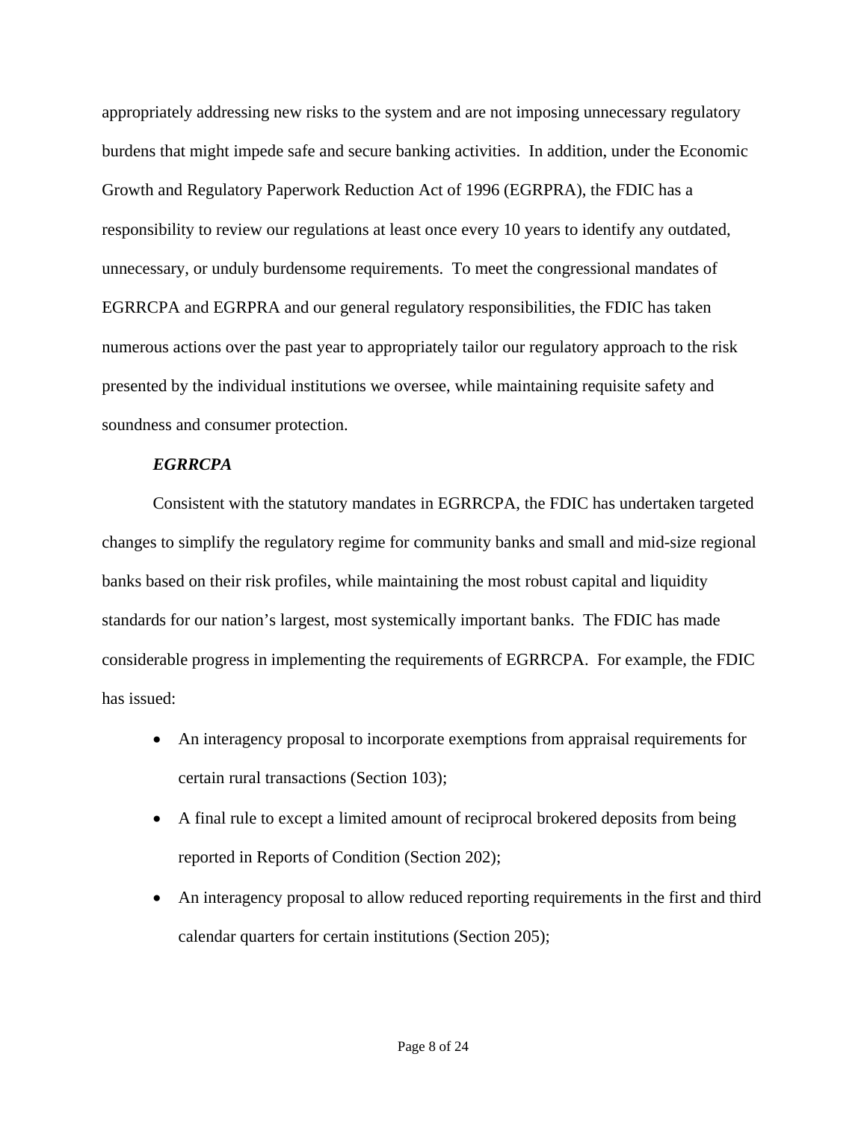appropriately addressing new risks to the system and are not imposing unnecessary regulatory burdens that might impede safe and secure banking activities. In addition, under the Economic Growth and Regulatory Paperwork Reduction Act of 1996 (EGRPRA), the FDIC has a responsibility to review our regulations at least once every 10 years to identify any outdated, unnecessary, or unduly burdensome requirements. To meet the congressional mandates of EGRRCPA and EGRPRA and our general regulatory responsibilities, the FDIC has taken numerous actions over the past year to appropriately tailor our regulatory approach to the risk presented by the individual institutions we oversee, while maintaining requisite safety and soundness and consumer protection.

#### *EGRRCPA*

Consistent with the statutory mandates in EGRRCPA, the FDIC has undertaken targeted changes to simplify the regulatory regime for community banks and small and mid-size regional banks based on their risk profiles, while maintaining the most robust capital and liquidity standards for our nation's largest, most systemically important banks. The FDIC has made considerable progress in implementing the requirements of EGRRCPA. For example, the FDIC has issued:

- An interagency proposal to incorporate exemptions from appraisal requirements for certain rural transactions (Section 103);
- A final rule to except a limited amount of reciprocal brokered deposits from being reported in Reports of Condition (Section 202);
- An interagency proposal to allow reduced reporting requirements in the first and third calendar quarters for certain institutions (Section 205);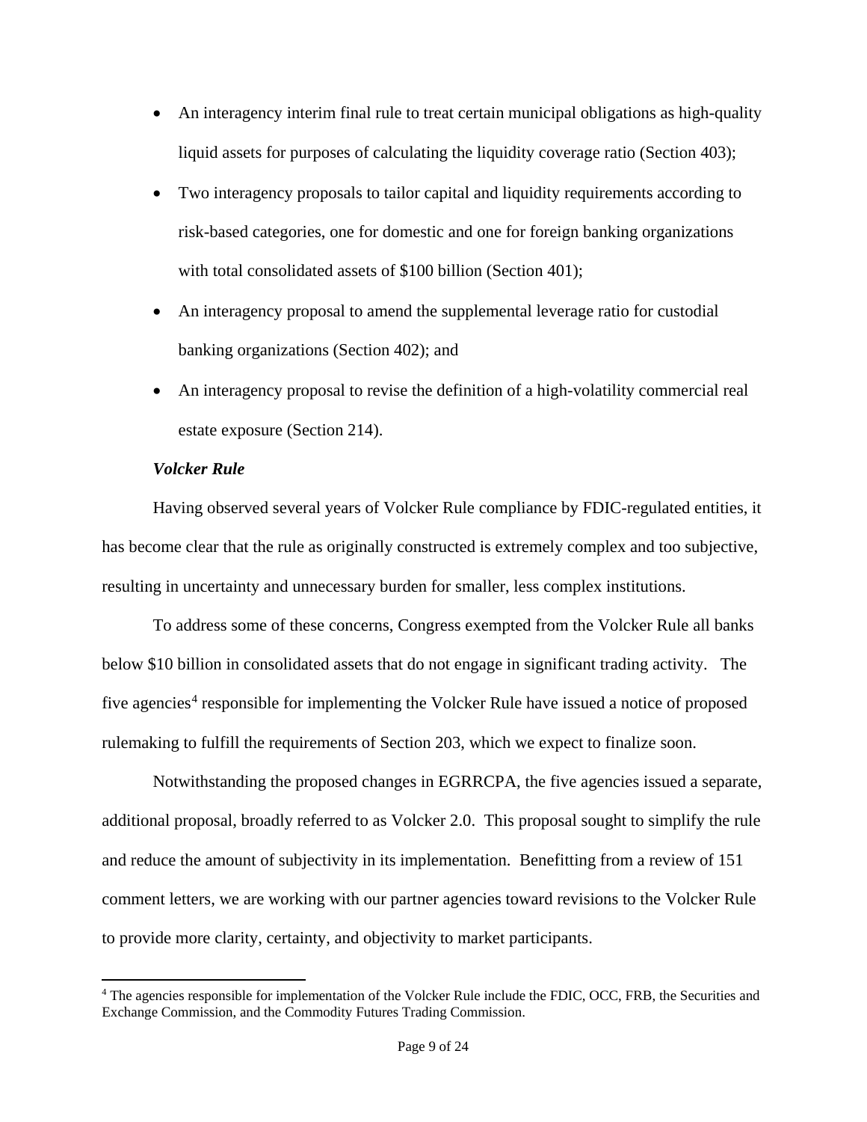- An interagency interim final rule to treat certain municipal obligations as high-quality liquid assets for purposes of calculating the liquidity coverage ratio (Section 403);
- Two interagency proposals to tailor capital and liquidity requirements according to risk-based categories, one for domestic and one for foreign banking organizations with total consolidated assets of \$100 billion (Section 401);
- An interagency proposal to amend the supplemental leverage ratio for custodial banking organizations (Section 402); and
- An interagency proposal to revise the definition of a high-volatility commercial real estate exposure (Section 214).

# *Volcker Rule*

 $\overline{\phantom{a}}$ 

Having observed several years of Volcker Rule compliance by FDIC-regulated entities, it has become clear that the rule as originally constructed is extremely complex and too subjective, resulting in uncertainty and unnecessary burden for smaller, less complex institutions.

To address some of these concerns, Congress exempted from the Volcker Rule all banks below \$10 billion in consolidated assets that do not engage in significant trading activity. The five agencies<sup>[4](#page-9-0)</sup> responsible for implementing the Volcker Rule have issued a notice of proposed rulemaking to fulfill the requirements of Section 203, which we expect to finalize soon.

Notwithstanding the proposed changes in EGRRCPA, the five agencies issued a separate, additional proposal, broadly referred to as Volcker 2.0. This proposal sought to simplify the rule and reduce the amount of subjectivity in its implementation. Benefitting from a review of 151 comment letters, we are working with our partner agencies toward revisions to the Volcker Rule to provide more clarity, certainty, and objectivity to market participants.

<span id="page-9-0"></span><sup>&</sup>lt;sup>4</sup> The agencies responsible for implementation of the Volcker Rule include the FDIC, OCC, FRB, the Securities and Exchange Commission, and the Commodity Futures Trading Commission.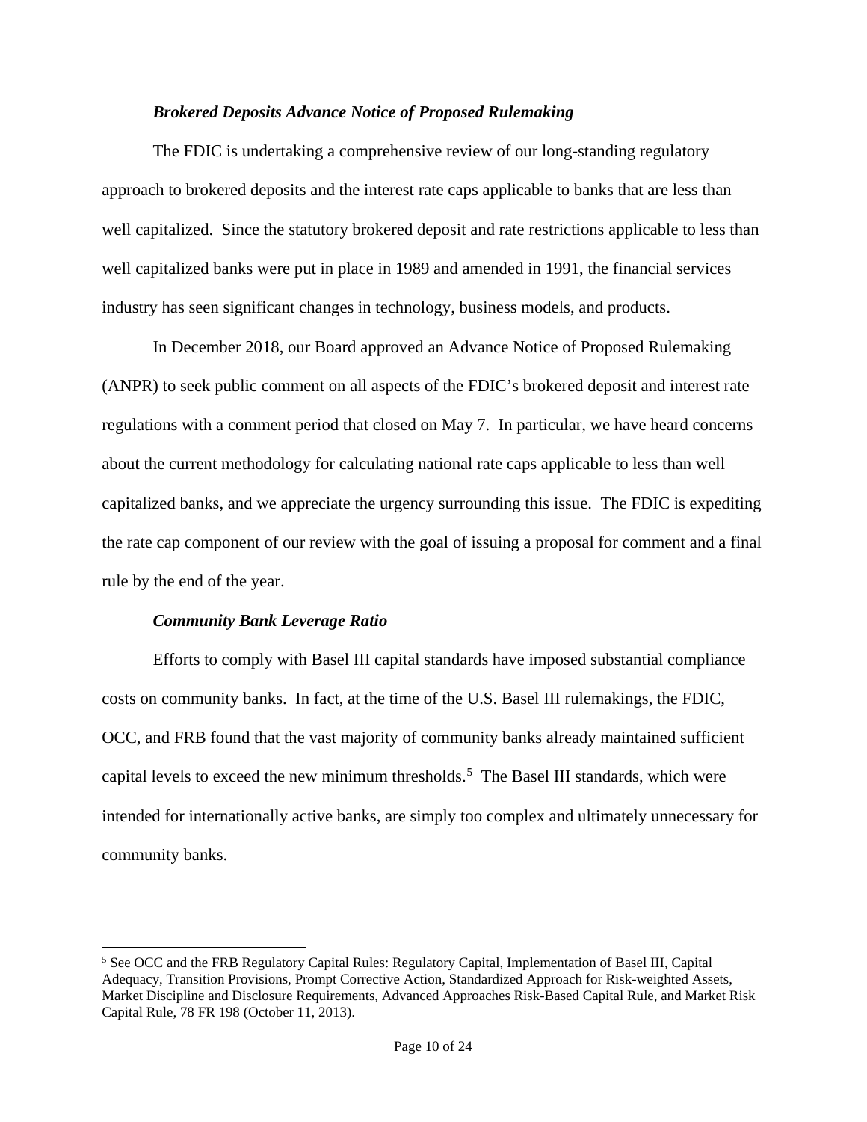## *Brokered Deposits Advance Notice of Proposed Rulemaking*

The FDIC is undertaking a comprehensive review of our long-standing regulatory approach to brokered deposits and the interest rate caps applicable to banks that are less than well capitalized. Since the statutory brokered deposit and rate restrictions applicable to less than well capitalized banks were put in place in 1989 and amended in 1991, the financial services industry has seen significant changes in technology, business models, and products.

In December 2018, our Board approved an Advance Notice of Proposed Rulemaking (ANPR) to seek public comment on all aspects of the FDIC's brokered deposit and interest rate regulations with a comment period that closed on May 7. In particular, we have heard concerns about the current methodology for calculating national rate caps applicable to less than well capitalized banks, and we appreciate the urgency surrounding this issue. The FDIC is expediting the rate cap component of our review with the goal of issuing a proposal for comment and a final rule by the end of the year.

# *Community Bank Leverage Ratio*

l

Efforts to comply with Basel III capital standards have imposed substantial compliance costs on community banks. In fact, at the time of the U.S. Basel III rulemakings, the FDIC, OCC, and FRB found that the vast majority of community banks already maintained sufficient capital levels to exceed the new minimum thresholds.<sup>[5](#page-10-0)</sup> The Basel III standards, which were intended for internationally active banks, are simply too complex and ultimately unnecessary for community banks.

<span id="page-10-0"></span><sup>5</sup> See OCC and the FRB Regulatory Capital Rules: Regulatory Capital, Implementation of Basel III, Capital Adequacy, Transition Provisions, Prompt Corrective Action, Standardized Approach for Risk-weighted Assets, Market Discipline and Disclosure Requirements, Advanced Approaches Risk-Based Capital Rule, and Market Risk Capital Rule, 78 FR 198 (October 11, 2013).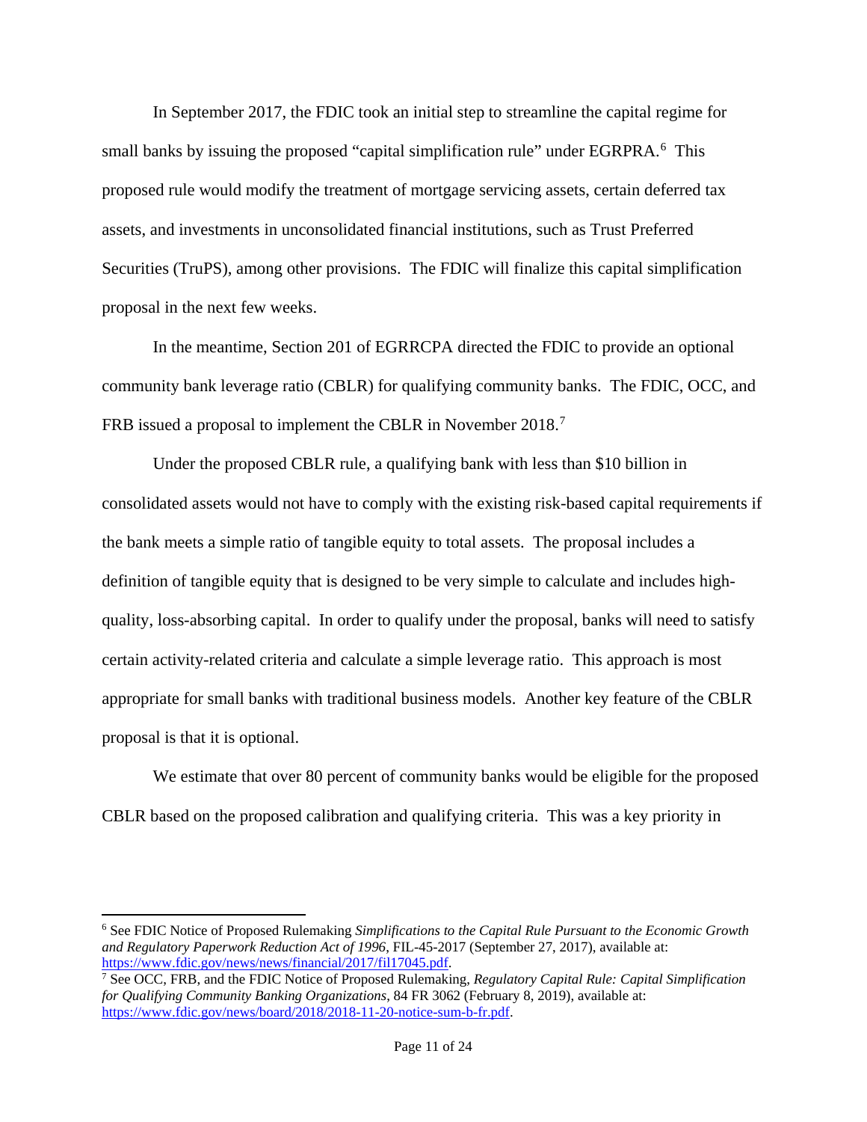In September 2017, the FDIC took an initial step to streamline the capital regime for small banks by issuing the proposed "capital simplification rule" under EGRPRA.<sup>[6](#page-11-0)</sup> This proposed rule would modify the treatment of mortgage servicing assets, certain deferred tax assets, and investments in unconsolidated financial institutions, such as Trust Preferred Securities (TruPS), among other provisions. The FDIC will finalize this capital simplification proposal in the next few weeks.

In the meantime, Section 201 of EGRRCPA directed the FDIC to provide an optional community bank leverage ratio (CBLR) for qualifying community banks. The FDIC, OCC, and FRB issued a proposal to implement the CBLR in November 2018.<sup>[7](#page-11-1)</sup>

Under the proposed CBLR rule, a qualifying bank with less than \$10 billion in consolidated assets would not have to comply with the existing risk-based capital requirements if the bank meets a simple ratio of tangible equity to total assets. The proposal includes a definition of tangible equity that is designed to be very simple to calculate and includes highquality, loss-absorbing capital. In order to qualify under the proposal, banks will need to satisfy certain activity-related criteria and calculate a simple leverage ratio. This approach is most appropriate for small banks with traditional business models. Another key feature of the CBLR proposal is that it is optional.

We estimate that over 80 percent of community banks would be eligible for the proposed CBLR based on the proposed calibration and qualifying criteria. This was a key priority in

<span id="page-11-0"></span><sup>6</sup> See FDIC Notice of Proposed Rulemaking *Simplifications to the Capital Rule Pursuant to the Economic Growth and Regulatory Paperwork Reduction Act of 1996*, FIL-45-2017 (September 27, 2017), available at: [https://www.fdic.gov/news/news/financial/2017/fil17045.pdf.](https://www.fdic.gov/news/news/financial/2017/fil17045.pdf)

 $\overline{a}$ 

<span id="page-11-1"></span><sup>7</sup> See OCC, FRB, and the FDIC Notice of Proposed Rulemaking, *Regulatory Capital Rule: Capital Simplification for Qualifying Community Banking Organizations*, 84 FR 3062 (February 8, 2019), available at: [https://www.fdic.gov/news/board/2018/2018-11-20-notice-sum-b-fr.pdf.](https://www.fdic.gov/news/board/2018/2018-11-20-notice-sum-b-fr.pdf)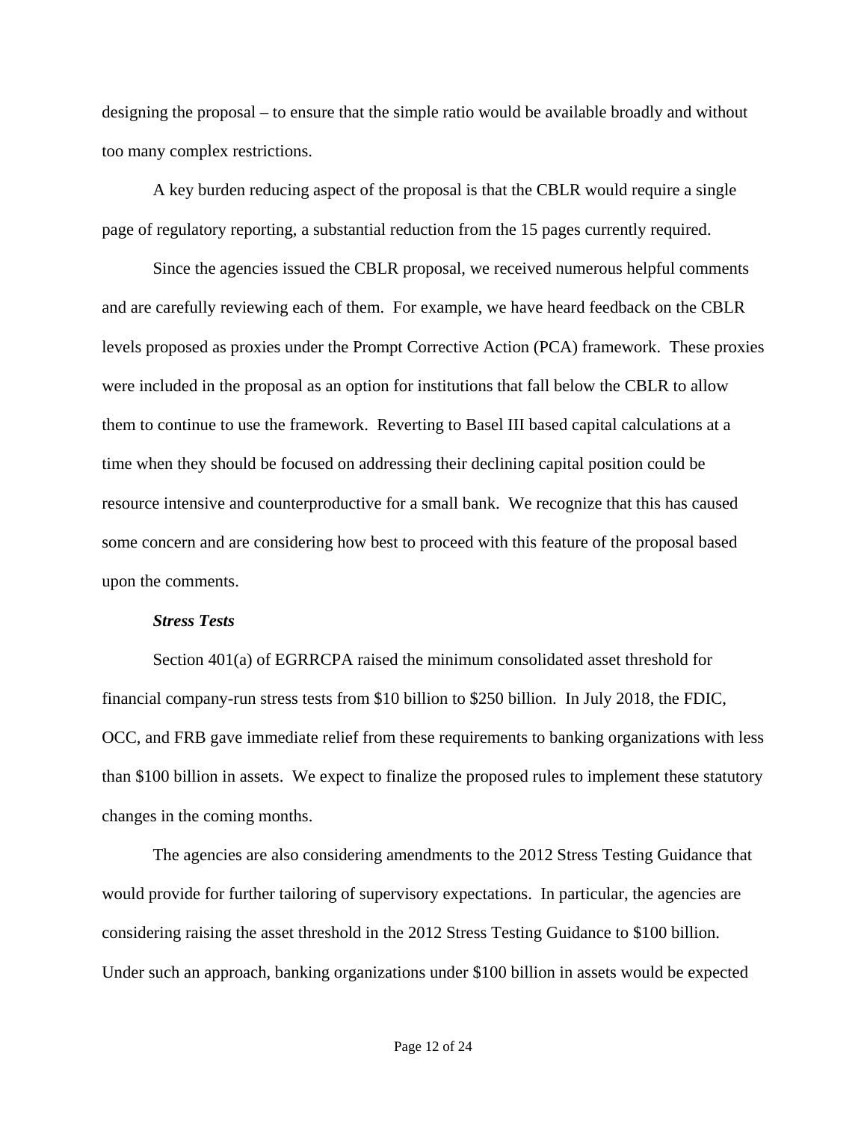designing the proposal – to ensure that the simple ratio would be available broadly and without too many complex restrictions.

A key burden reducing aspect of the proposal is that the CBLR would require a single page of regulatory reporting, a substantial reduction from the 15 pages currently required.

Since the agencies issued the CBLR proposal, we received numerous helpful comments and are carefully reviewing each of them. For example, we have heard feedback on the CBLR levels proposed as proxies under the Prompt Corrective Action (PCA) framework. These proxies were included in the proposal as an option for institutions that fall below the CBLR to allow them to continue to use the framework. Reverting to Basel III based capital calculations at a time when they should be focused on addressing their declining capital position could be resource intensive and counterproductive for a small bank. We recognize that this has caused some concern and are considering how best to proceed with this feature of the proposal based upon the comments.

#### *Stress Tests*

Section 401(a) of EGRRCPA raised the minimum consolidated asset threshold for financial company-run stress tests from \$10 billion to \$250 billion. In July 2018, the FDIC, OCC, and FRB gave immediate relief from these requirements to banking organizations with less than \$100 billion in assets. We expect to finalize the proposed rules to implement these statutory changes in the coming months.

The agencies are also considering amendments to the 2012 Stress Testing Guidance that would provide for further tailoring of supervisory expectations. In particular, the agencies are considering raising the asset threshold in the 2012 Stress Testing Guidance to \$100 billion. Under such an approach, banking organizations under \$100 billion in assets would be expected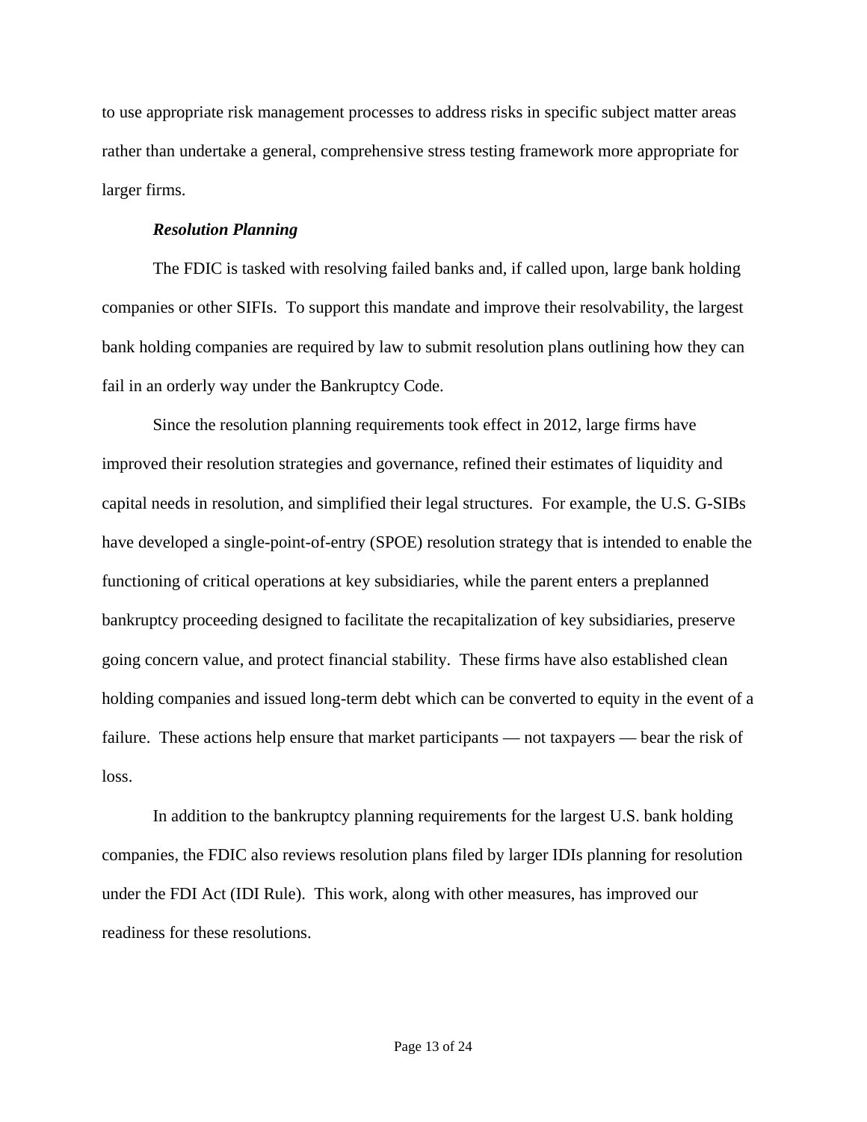to use appropriate risk management processes to address risks in specific subject matter areas rather than undertake a general, comprehensive stress testing framework more appropriate for larger firms.

### *Resolution Planning*

The FDIC is tasked with resolving failed banks and, if called upon, large bank holding companies or other SIFIs. To support this mandate and improve their resolvability, the largest bank holding companies are required by law to submit resolution plans outlining how they can fail in an orderly way under the Bankruptcy Code.

Since the resolution planning requirements took effect in 2012, large firms have improved their resolution strategies and governance, refined their estimates of liquidity and capital needs in resolution, and simplified their legal structures. For example, the U.S. G-SIBs have developed a single-point-of-entry (SPOE) resolution strategy that is intended to enable the functioning of critical operations at key subsidiaries, while the parent enters a preplanned bankruptcy proceeding designed to facilitate the recapitalization of key subsidiaries, preserve going concern value, and protect financial stability. These firms have also established clean holding companies and issued long-term debt which can be converted to equity in the event of a failure. These actions help ensure that market participants — not taxpayers — bear the risk of loss.

In addition to the bankruptcy planning requirements for the largest U.S. bank holding companies, the FDIC also reviews resolution plans filed by larger IDIs planning for resolution under the FDI Act (IDI Rule). This work, along with other measures, has improved our readiness for these resolutions.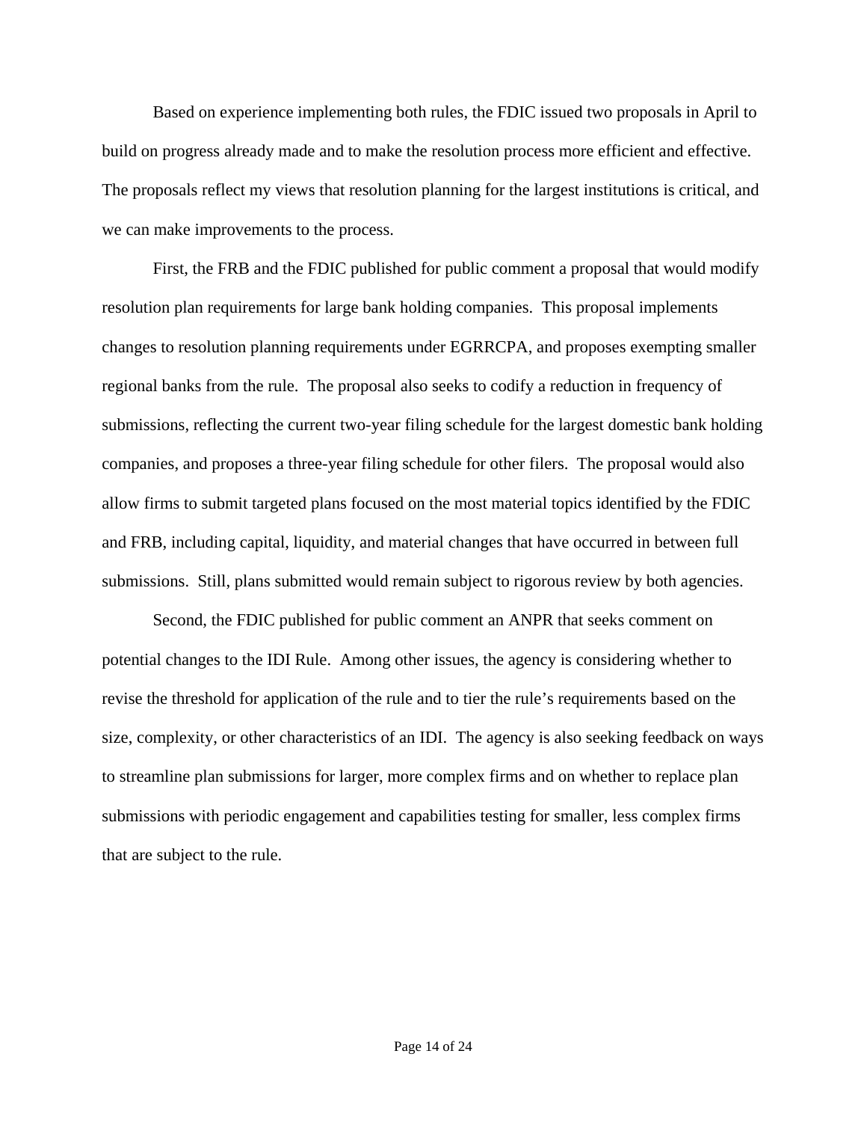Based on experience implementing both rules, the FDIC issued two proposals in April to build on progress already made and to make the resolution process more efficient and effective. The proposals reflect my views that resolution planning for the largest institutions is critical, and we can make improvements to the process.

First, the FRB and the FDIC published for public comment a proposal that would modify resolution plan requirements for large bank holding companies. This proposal implements changes to resolution planning requirements under EGRRCPA, and proposes exempting smaller regional banks from the rule. The proposal also seeks to codify a reduction in frequency of submissions, reflecting the current two-year filing schedule for the largest domestic bank holding companies, and proposes a three-year filing schedule for other filers. The proposal would also allow firms to submit targeted plans focused on the most material topics identified by the FDIC and FRB, including capital, liquidity, and material changes that have occurred in between full submissions. Still, plans submitted would remain subject to rigorous review by both agencies.

Second, the FDIC published for public comment an ANPR that seeks comment on potential changes to the IDI Rule. Among other issues, the agency is considering whether to revise the threshold for application of the rule and to tier the rule's requirements based on the size, complexity, or other characteristics of an IDI. The agency is also seeking feedback on ways to streamline plan submissions for larger, more complex firms and on whether to replace plan submissions with periodic engagement and capabilities testing for smaller, less complex firms that are subject to the rule.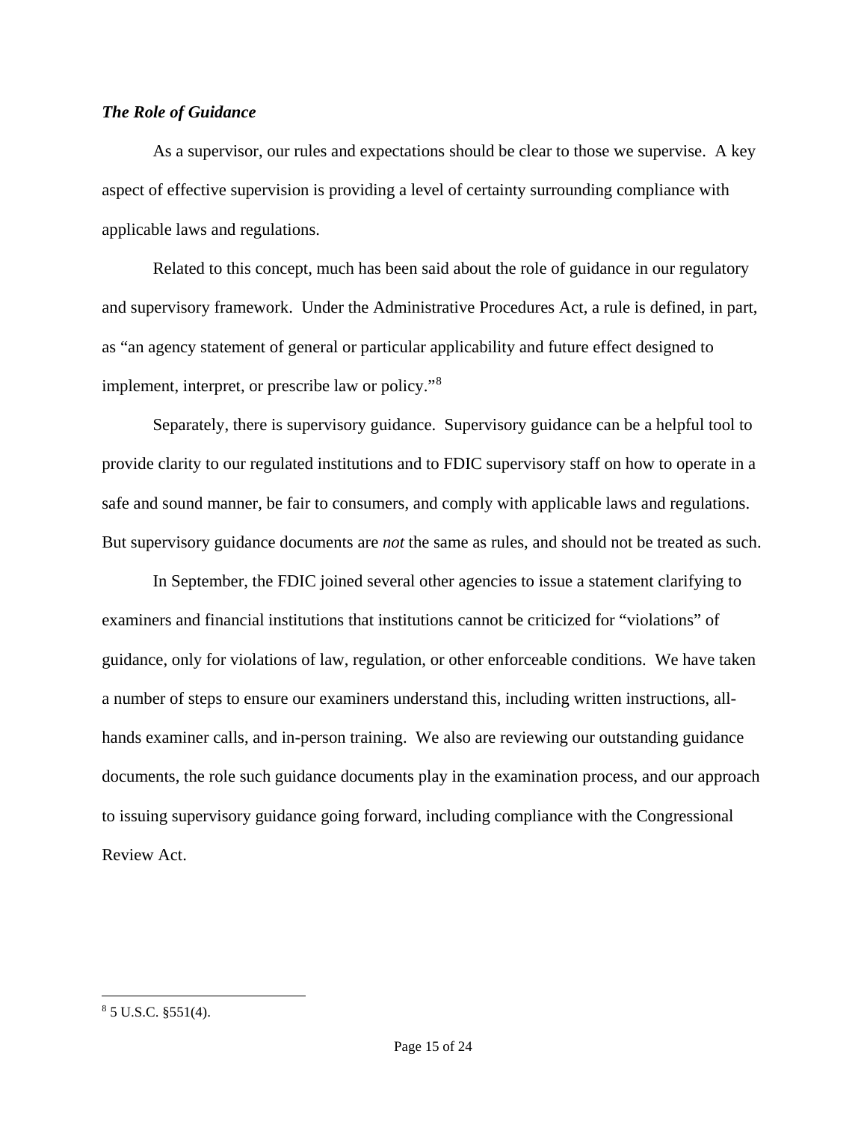## *The Role of Guidance*

As a supervisor, our rules and expectations should be clear to those we supervise. A key aspect of effective supervision is providing a level of certainty surrounding compliance with applicable laws and regulations.

Related to this concept, much has been said about the role of guidance in our regulatory and supervisory framework. Under the Administrative Procedures Act, a rule is defined, in part, as "an agency statement of general or particular applicability and future effect designed to implement, interpret, or prescribe law or policy."[8](#page-15-0)

Separately, there is supervisory guidance. Supervisory guidance can be a helpful tool to provide clarity to our regulated institutions and to FDIC supervisory staff on how to operate in a safe and sound manner, be fair to consumers, and comply with applicable laws and regulations. But supervisory guidance documents are *not* the same as rules, and should not be treated as such.

In September, the FDIC joined several other agencies to issue a statement clarifying to examiners and financial institutions that institutions cannot be criticized for "violations" of guidance, only for violations of law, regulation, or other enforceable conditions. We have taken a number of steps to ensure our examiners understand this, including written instructions, allhands examiner calls, and in-person training. We also are reviewing our outstanding guidance documents, the role such guidance documents play in the examination process, and our approach to issuing supervisory guidance going forward, including compliance with the Congressional Review Act.

l

<span id="page-15-0"></span><sup>8</sup> 5 U.S.C. §551(4).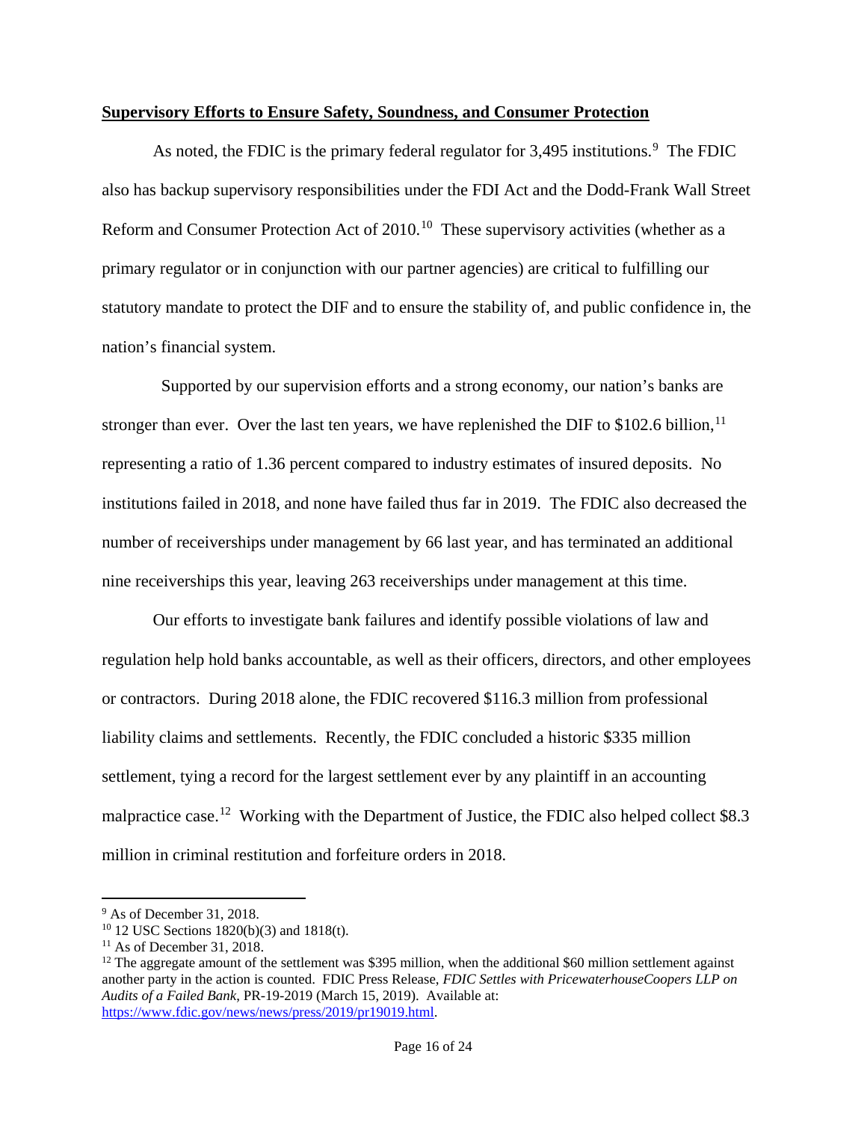### **Supervisory Efforts to Ensure Safety, Soundness, and Consumer Protection**

As noted, the FDIC is the primary federal regulator for  $3,495$  $3,495$  $3,495$  institutions.<sup>9</sup> The FDIC also has backup supervisory responsibilities under the FDI Act and the Dodd-Frank Wall Street Reform and Consumer Protection Act of 2010.<sup>10</sup> These supervisory activities (whether as a primary regulator or in conjunction with our partner agencies) are critical to fulfilling our statutory mandate to protect the DIF and to ensure the stability of, and public confidence in, the nation's financial system.

 Supported by our supervision efforts and a strong economy, our nation's banks are stronger than ever. Over the last ten years, we have replenished the DIF to  $$102.6$  billion,<sup>[11](#page-16-2)</sup> representing a ratio of 1.36 percent compared to industry estimates of insured deposits. No institutions failed in 2018, and none have failed thus far in 2019. The FDIC also decreased the number of receiverships under management by 66 last year, and has terminated an additional nine receiverships this year, leaving 263 receiverships under management at this time.

Our efforts to investigate bank failures and identify possible violations of law and regulation help hold banks accountable, as well as their officers, directors, and other employees or contractors. During 2018 alone, the FDIC recovered \$116.3 million from professional liability claims and settlements. Recently, the FDIC concluded a historic \$335 million settlement, tying a record for the largest settlement ever by any plaintiff in an accounting malpractice case.<sup>[12](#page-16-3)</sup> Working with the Department of Justice, the FDIC also helped collect \$8.3 million in criminal restitution and forfeiture orders in 2018.

l

<span id="page-16-0"></span><sup>9</sup> As of December 31, 2018.

<span id="page-16-1"></span><sup>10</sup> 12 USC Sections 1820(b)(3) and 1818(t).

<span id="page-16-2"></span> $11$  As of December 31, 2018.

<span id="page-16-3"></span> $12$  The aggregate amount of the settlement was \$395 million, when the additional \$60 million settlement against another party in the action is counted. FDIC Press Release, *FDIC Settles with PricewaterhouseCoopers LLP on Audits of a Failed Bank*, PR-19-2019 (March 15, 2019). Available at: [https://www.fdic.gov/news/news/press/2019/pr19019.html.](https://www.fdic.gov/news/news/press/2019/pr19019.html)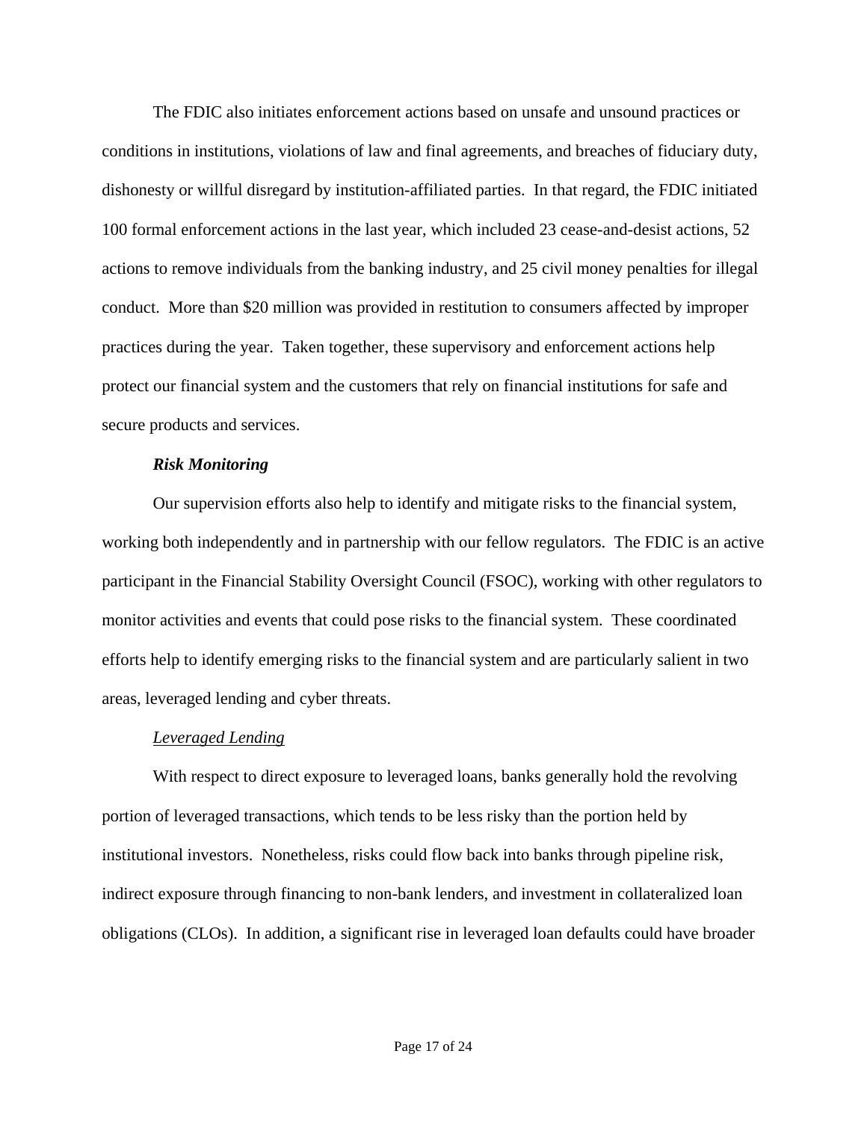The FDIC also initiates enforcement actions based on unsafe and unsound practices or conditions in institutions, violations of law and final agreements, and breaches of fiduciary duty, dishonesty or willful disregard by institution-affiliated parties. In that regard, the FDIC initiated 100 formal enforcement actions in the last year, which included 23 cease-and-desist actions, 52 actions to remove individuals from the banking industry, and 25 civil money penalties for illegal conduct. More than \$20 million was provided in restitution to consumers affected by improper practices during the year. Taken together, these supervisory and enforcement actions help protect our financial system and the customers that rely on financial institutions for safe and secure products and services.

#### *Risk Monitoring*

Our supervision efforts also help to identify and mitigate risks to the financial system, working both independently and in partnership with our fellow regulators. The FDIC is an active participant in the Financial Stability Oversight Council (FSOC), working with other regulators to monitor activities and events that could pose risks to the financial system. These coordinated efforts help to identify emerging risks to the financial system and are particularly salient in two areas, leveraged lending and cyber threats.

#### *Leveraged Lending*

With respect to direct exposure to leveraged loans, banks generally hold the revolving portion of leveraged transactions, which tends to be less risky than the portion held by institutional investors. Nonetheless, risks could flow back into banks through pipeline risk, indirect exposure through financing to non-bank lenders, and investment in collateralized loan obligations (CLOs). In addition, a significant rise in leveraged loan defaults could have broader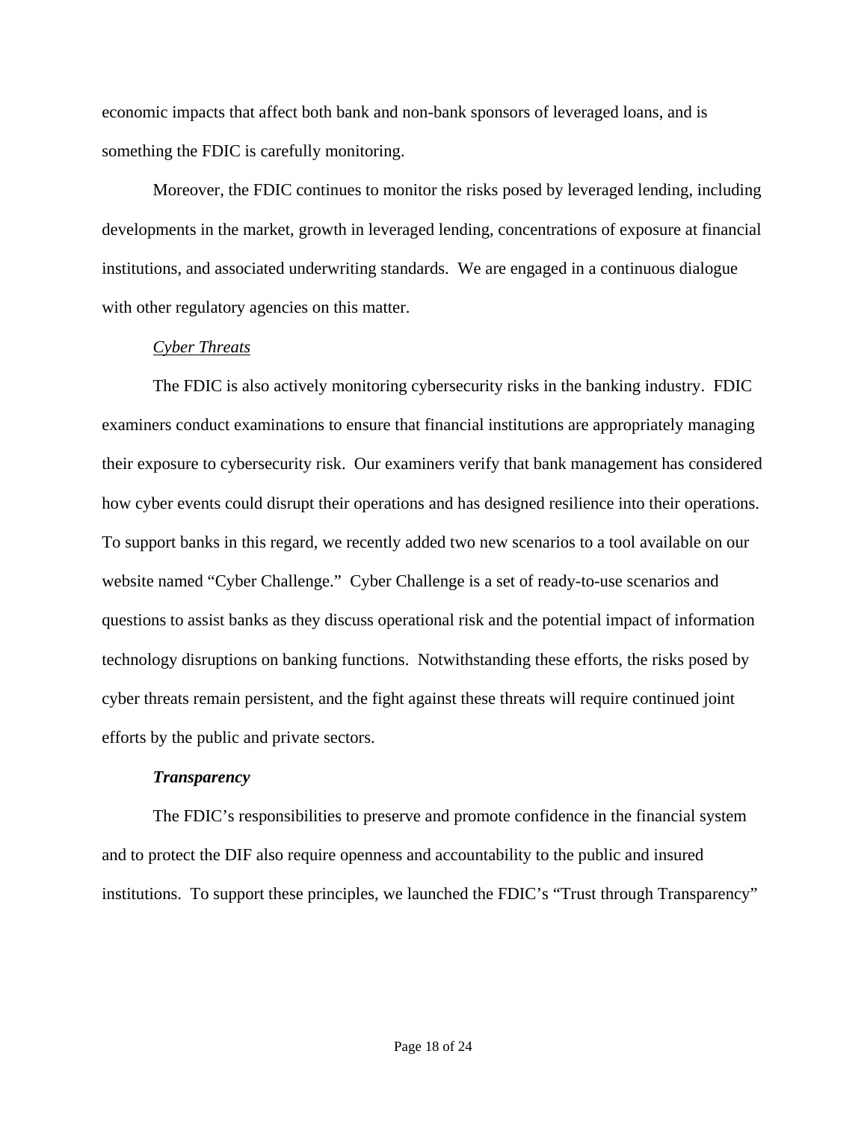economic impacts that affect both bank and non-bank sponsors of leveraged loans, and is something the FDIC is carefully monitoring.

Moreover, the FDIC continues to monitor the risks posed by leveraged lending, including developments in the market, growth in leveraged lending, concentrations of exposure at financial institutions, and associated underwriting standards. We are engaged in a continuous dialogue with other regulatory agencies on this matter.

### *Cyber Threats*

The FDIC is also actively monitoring cybersecurity risks in the banking industry. FDIC examiners conduct examinations to ensure that financial institutions are appropriately managing their exposure to cybersecurity risk. Our examiners verify that bank management has considered how cyber events could disrupt their operations and has designed resilience into their operations. To support banks in this regard, we recently added two new scenarios to a tool available on our website named "Cyber Challenge." Cyber Challenge is a set of ready-to-use scenarios and questions to assist banks as they discuss operational risk and the potential impact of information technology disruptions on banking functions. Notwithstanding these efforts, the risks posed by cyber threats remain persistent, and the fight against these threats will require continued joint efforts by the public and private sectors.

#### *Transparency*

The FDIC's responsibilities to preserve and promote confidence in the financial system and to protect the DIF also require openness and accountability to the public and insured institutions. To support these principles, we launched the FDIC's "Trust through Transparency"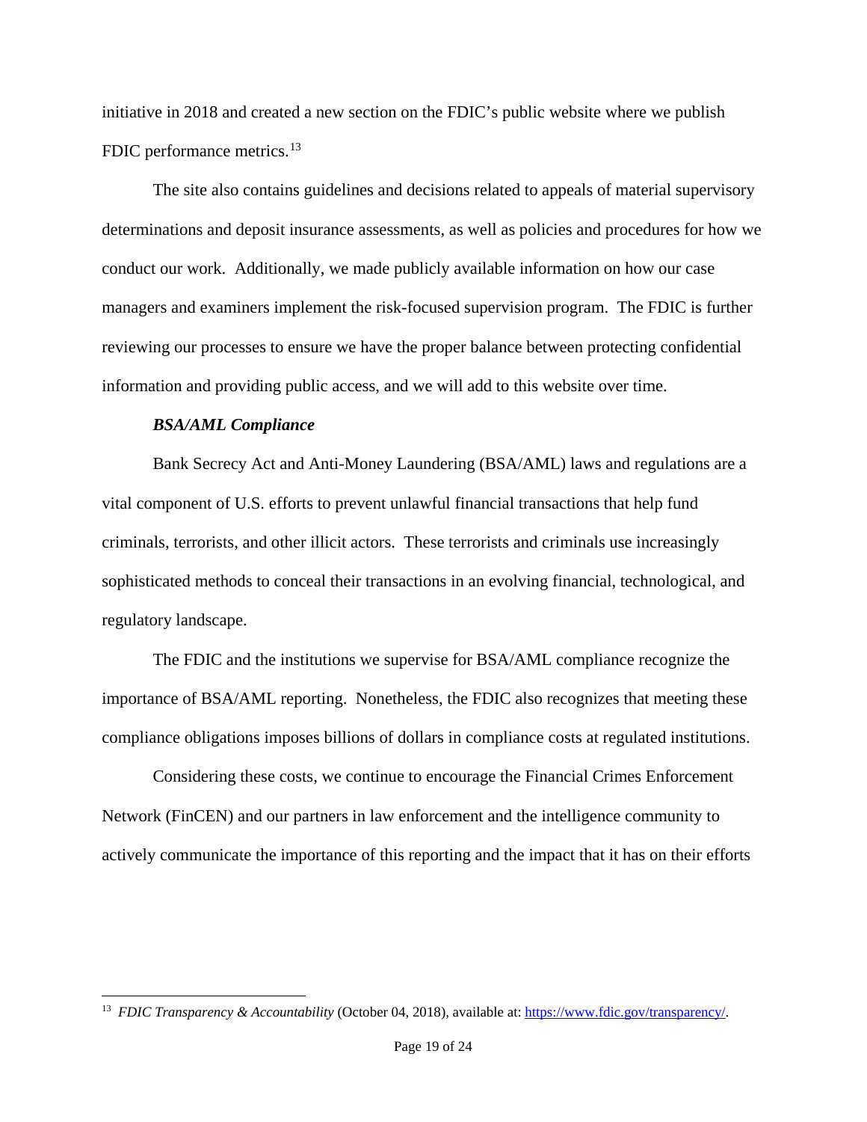initiative in 2018 and created a new section on the FDIC's public website where we publish FDIC performance metrics.<sup>13</sup>

The site also contains guidelines and decisions related to appeals of material supervisory determinations and deposit insurance assessments, as well as policies and procedures for how we conduct our work. Additionally, we made publicly available information on how our case managers and examiners implement the risk-focused supervision program. The FDIC is further reviewing our processes to ensure we have the proper balance between protecting confidential information and providing public access, and we will add to this website over time.

#### *BSA/AML Compliance*

l

Bank Secrecy Act and Anti-Money Laundering (BSA/AML) laws and regulations are a vital component of U.S. efforts to prevent unlawful financial transactions that help fund criminals, terrorists, and other illicit actors. These terrorists and criminals use increasingly sophisticated methods to conceal their transactions in an evolving financial, technological, and regulatory landscape.

The FDIC and the institutions we supervise for BSA/AML compliance recognize the importance of BSA/AML reporting. Nonetheless, the FDIC also recognizes that meeting these compliance obligations imposes billions of dollars in compliance costs at regulated institutions.

Considering these costs, we continue to encourage the Financial Crimes Enforcement Network (FinCEN) and our partners in law enforcement and the intelligence community to actively communicate the importance of this reporting and the impact that it has on their efforts

<span id="page-19-0"></span><sup>13</sup> *FDIC Transparency & Accountability* (October 04, 2018), available at: [https://www.fdic.gov/transparency/.](https://www.fdic.gov/transparency/)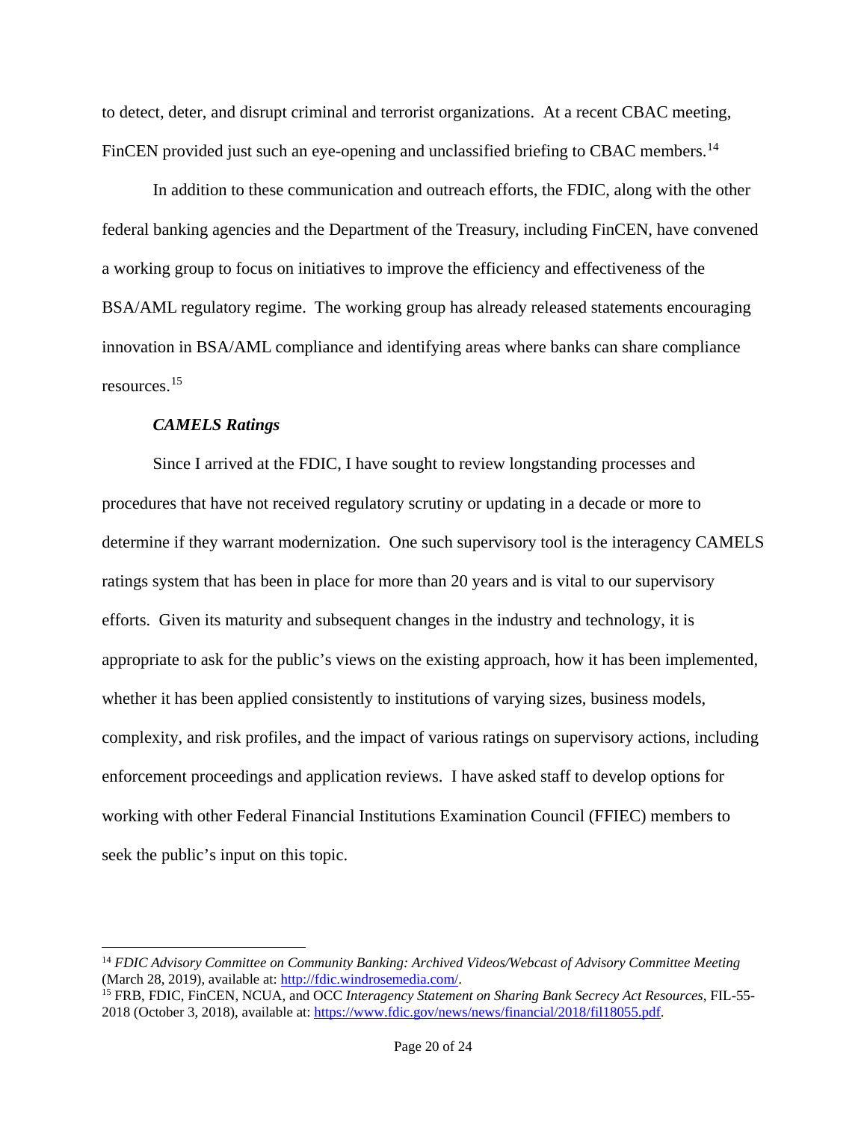to detect, deter, and disrupt criminal and terrorist organizations. At a recent CBAC meeting, FinCEN provided just such an eye-opening and unclassified briefing to CBAC members.<sup>[14](#page-20-0)</sup>

In addition to these communication and outreach efforts, the FDIC, along with the other federal banking agencies and the Department of the Treasury, including FinCEN, have convened a working group to focus on initiatives to improve the efficiency and effectiveness of the BSA/AML regulatory regime. The working group has already released statements encouraging innovation in BSA/AML compliance and identifying areas where banks can share compliance resources. [15](#page-20-1) 

## *CAMELS Ratings*

l

Since I arrived at the FDIC, I have sought to review longstanding processes and procedures that have not received regulatory scrutiny or updating in a decade or more to determine if they warrant modernization. One such supervisory tool is the interagency CAMELS ratings system that has been in place for more than 20 years and is vital to our supervisory efforts. Given its maturity and subsequent changes in the industry and technology, it is appropriate to ask for the public's views on the existing approach, how it has been implemented, whether it has been applied consistently to institutions of varying sizes, business models, complexity, and risk profiles, and the impact of various ratings on supervisory actions, including enforcement proceedings and application reviews. I have asked staff to develop options for working with other Federal Financial Institutions Examination Council (FFIEC) members to seek the public's input on this topic.

<span id="page-20-0"></span><sup>14</sup> *FDIC Advisory Committee on Community Banking: Archived Videos/Webcast of Advisory Committee Meeting*  (March 28, 2019), available at: [http://fdic.windrosemedia.com/.](http://fdic.windrosemedia.com/)

<span id="page-20-1"></span><sup>15</sup> FRB, FDIC, FinCEN, NCUA, and OCC *Interagency Statement on Sharing Bank Secrecy Act Resources*, FIL-55- 2018 (October 3, 2018), available at: [https://www.fdic.gov/news/news/financial/2018/fil18055.pdf.](https://www.fdic.gov/news/news/financial/2018/fil18055.pdf)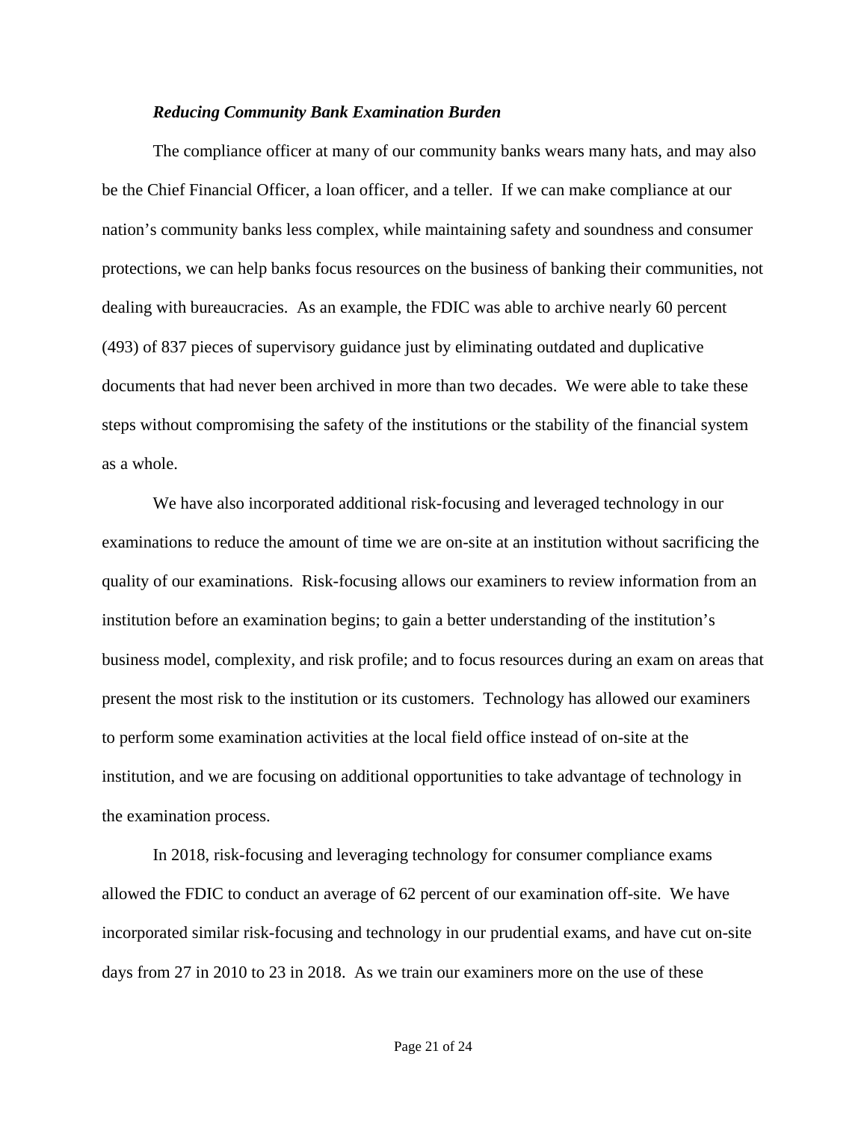#### *Reducing Community Bank Examination Burden*

The compliance officer at many of our community banks wears many hats, and may also be the Chief Financial Officer, a loan officer, and a teller. If we can make compliance at our nation's community banks less complex, while maintaining safety and soundness and consumer protections, we can help banks focus resources on the business of banking their communities, not dealing with bureaucracies. As an example, the FDIC was able to archive nearly 60 percent (493) of 837 pieces of supervisory guidance just by eliminating outdated and duplicative documents that had never been archived in more than two decades. We were able to take these steps without compromising the safety of the institutions or the stability of the financial system as a whole.

We have also incorporated additional risk-focusing and leveraged technology in our examinations to reduce the amount of time we are on-site at an institution without sacrificing the quality of our examinations. Risk-focusing allows our examiners to review information from an institution before an examination begins; to gain a better understanding of the institution's business model, complexity, and risk profile; and to focus resources during an exam on areas that present the most risk to the institution or its customers. Technology has allowed our examiners to perform some examination activities at the local field office instead of on-site at the institution, and we are focusing on additional opportunities to take advantage of technology in the examination process.

In 2018, risk-focusing and leveraging technology for consumer compliance exams allowed the FDIC to conduct an average of 62 percent of our examination off-site. We have incorporated similar risk-focusing and technology in our prudential exams, and have cut on-site days from 27 in 2010 to 23 in 2018. As we train our examiners more on the use of these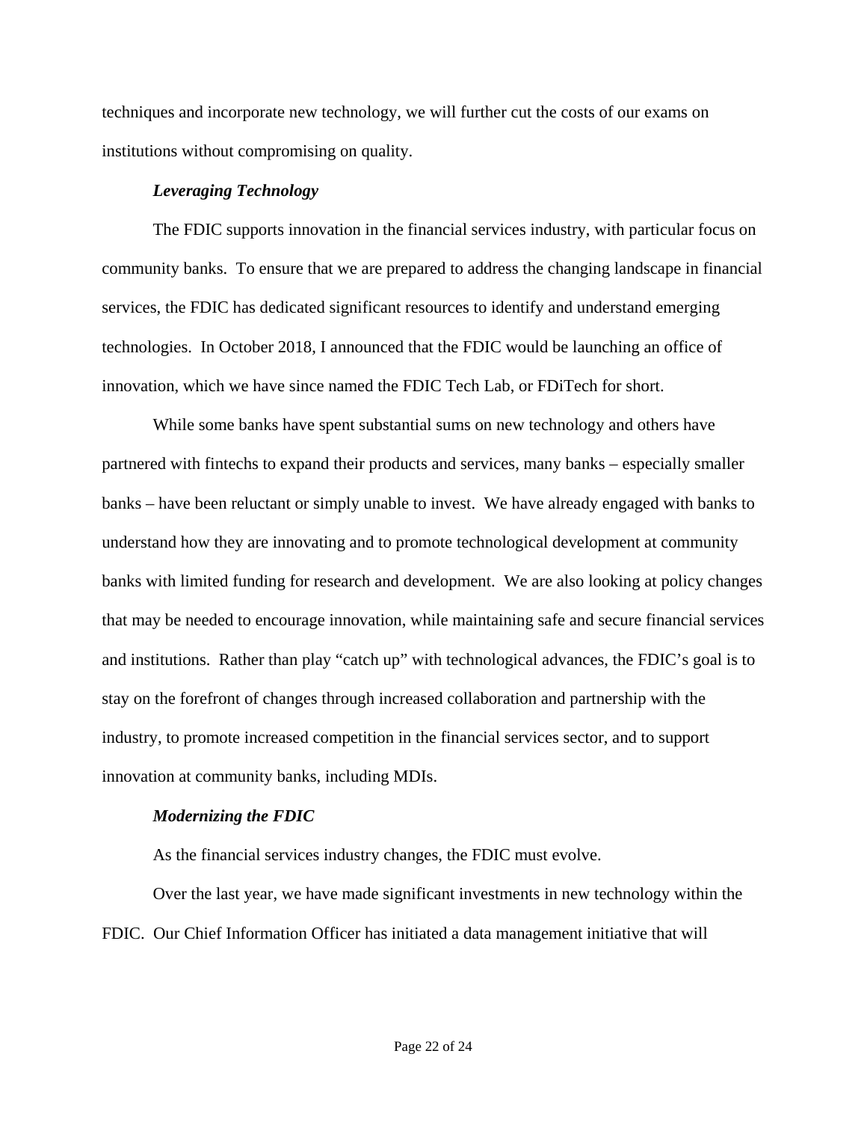techniques and incorporate new technology, we will further cut the costs of our exams on institutions without compromising on quality.

## *Leveraging Technology*

The FDIC supports innovation in the financial services industry, with particular focus on community banks. To ensure that we are prepared to address the changing landscape in financial services, the FDIC has dedicated significant resources to identify and understand emerging technologies. In October 2018, I announced that the FDIC would be launching an office of innovation, which we have since named the FDIC Tech Lab, or FDiTech for short.

While some banks have spent substantial sums on new technology and others have partnered with fintechs to expand their products and services, many banks – especially smaller banks – have been reluctant or simply unable to invest. We have already engaged with banks to understand how they are innovating and to promote technological development at community banks with limited funding for research and development. We are also looking at policy changes that may be needed to encourage innovation, while maintaining safe and secure financial services and institutions. Rather than play "catch up" with technological advances, the FDIC's goal is to stay on the forefront of changes through increased collaboration and partnership with the industry, to promote increased competition in the financial services sector, and to support innovation at community banks, including MDIs.

#### *Modernizing the FDIC*

As the financial services industry changes, the FDIC must evolve.

Over the last year, we have made significant investments in new technology within the FDIC. Our Chief Information Officer has initiated a data management initiative that will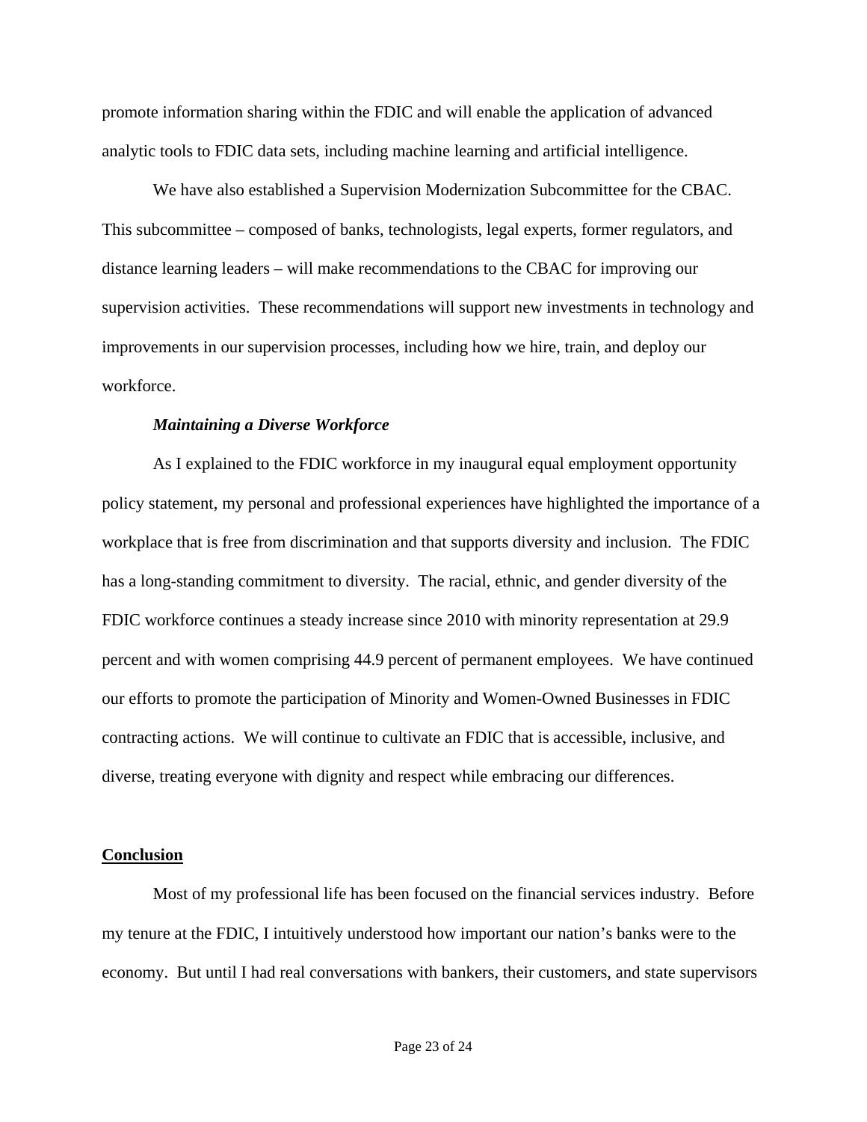promote information sharing within the FDIC and will enable the application of advanced analytic tools to FDIC data sets, including machine learning and artificial intelligence.

We have also established a Supervision Modernization Subcommittee for the CBAC. This subcommittee – composed of banks, technologists, legal experts, former regulators, and distance learning leaders – will make recommendations to the CBAC for improving our supervision activities. These recommendations will support new investments in technology and improvements in our supervision processes, including how we hire, train, and deploy our workforce.

#### *Maintaining a Diverse Workforce*

As I explained to the FDIC workforce in my inaugural equal employment opportunity policy statement, my personal and professional experiences have highlighted the importance of a workplace that is free from discrimination and that supports diversity and inclusion. The FDIC has a long-standing commitment to diversity. The racial, ethnic, and gender diversity of the FDIC workforce continues a steady increase since 2010 with minority representation at 29.9 percent and with women comprising 44.9 percent of permanent employees. We have continued our efforts to promote the participation of Minority and Women-Owned Businesses in FDIC contracting actions. We will continue to cultivate an FDIC that is accessible, inclusive, and diverse, treating everyone with dignity and respect while embracing our differences.

#### **Conclusion**

Most of my professional life has been focused on the financial services industry. Before my tenure at the FDIC, I intuitively understood how important our nation's banks were to the economy. But until I had real conversations with bankers, their customers, and state supervisors